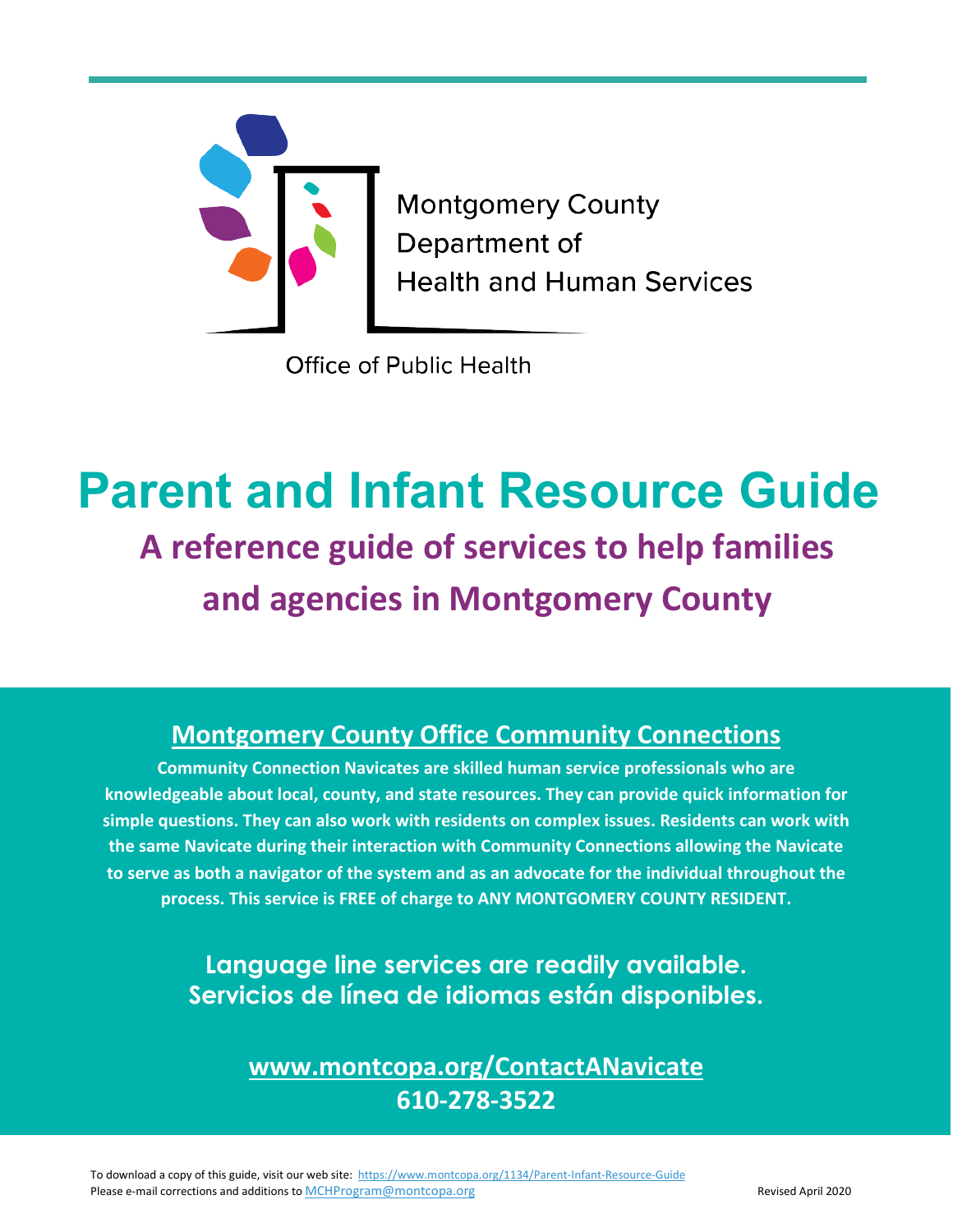

**Montgomery County** Department of **Health and Human Services** 

**Office of Public Health** 

# **Parent and Infant Resource Guide A reference guide of services to help families and agencies in Montgomery County**

# **Montgomery County Office Community Connections**

**Community Connection Navicates are skilled human service professionals who are knowledgeable about local, county, and state resources. They can provide quick information for simple questions. They can also work with residents on complex issues. Residents can work with the same Navicate during their interaction with Community Connections allowing the Navicate to serve as both a navigator of the system and as an advocate for the individual throughout the process. This service is FREE of charge to ANY MONTGOMERY COUNTY RESIDENT.**

> **Language line services are readily available. Servicios de línea de idiomas están disponibles.**

> > **[www.montcopa.org/ContactANavicate](http://www.montcopa.org/ContactANavicate) 610-278-3522**

To download a copy of this guide, visit our web site:<https://www.montcopa.org/1134/Parent-Infant-Resource-Guide> Please e-mail corrections and additions t[o MCHProgram@montcopa.org](mailto:MCHProgram@montcopa.org) **Revised April 2020**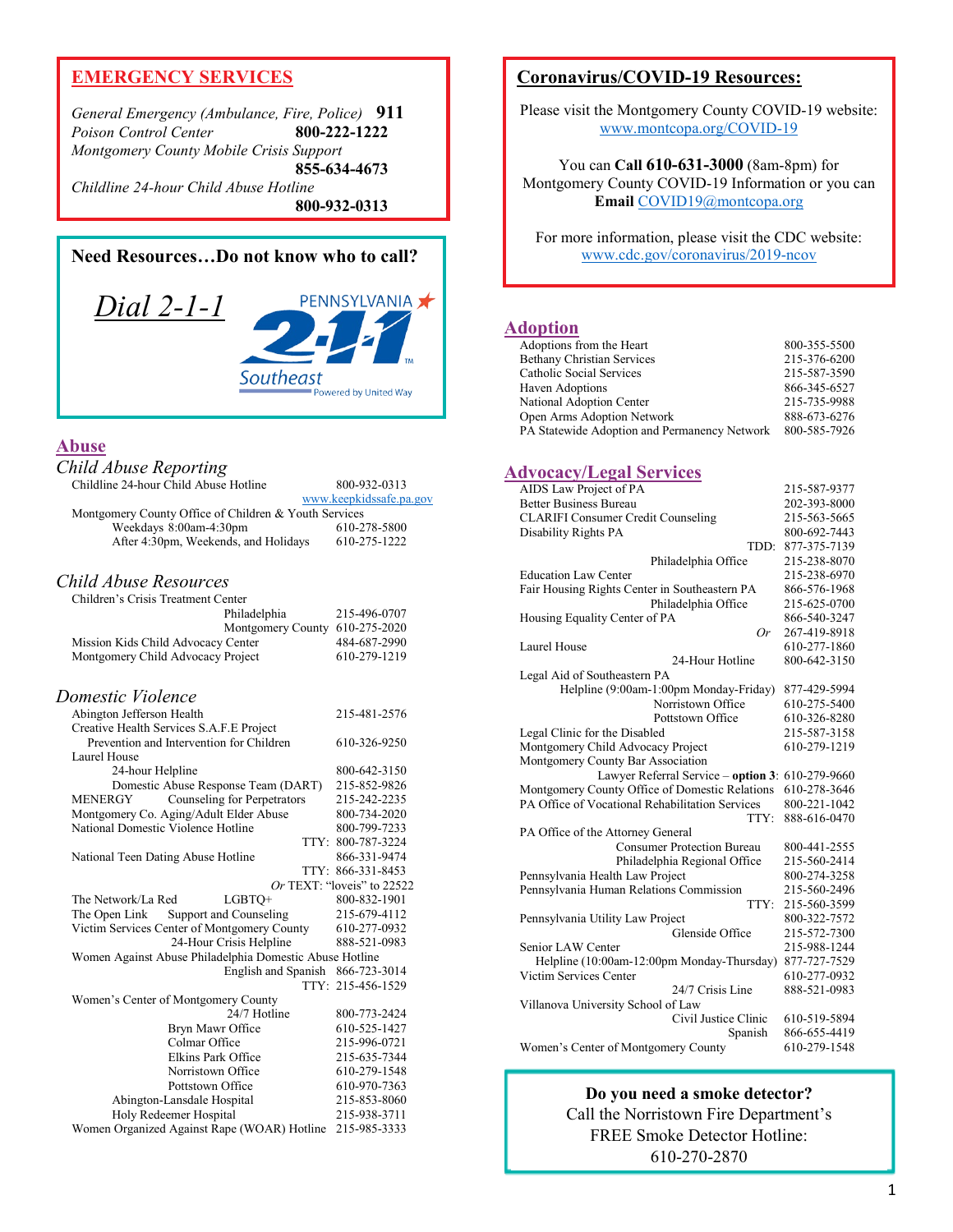## **EMERGENCY SERVICES**

*General Emergency (Ambulance, Fire, Police)* **911** *Poison Control Center* **800-222-1222** *Montgomery County Mobile Crisis Support* **855-634-4673** *Childline 24-hour Child Abuse Hotline*

**800-932-0313**



## **Abuse**

| Child Abuse Reporting                                                          |                            |
|--------------------------------------------------------------------------------|----------------------------|
| Childline 24-hour Child Abuse Hotline                                          | 800-932-0313               |
|                                                                                | www.keepkidssafe.pa.gov    |
| Montgomery County Office of Children & Youth Services                          |                            |
| Weekdays 8:00am-4:30pm                                                         | 610-278-5800               |
| After 4:30pm, Weekends, and Holidays                                           | 610-275-1222               |
| Child Abuse Resources                                                          |                            |
| Children's Crisis Treatment Center                                             |                            |
| Philadelphia                                                                   | 215-496-0707               |
| Montgomery County 610-275-2020                                                 |                            |
| Mission Kids Child Advocacy Center                                             | 484-687-2990               |
| Montgomery Child Advocacy Project                                              | 610-279-1219               |
| Domestic Violence                                                              |                            |
| Abington Jefferson Health                                                      | 215-481-2576               |
| Creative Health Services S.A.F.E Project                                       |                            |
| Prevention and Intervention for Children                                       | 610-326-9250               |
| Laurel House                                                                   |                            |
| 24-hour Helpline                                                               | 800-642-3150               |
| Domestic Abuse Response Team (DART)                                            | 215-852-9826               |
| <b>Counseling for Perpetrators</b><br>MENERGY                                  | 215-242-2235               |
| Montgomery Co. Aging/Adult Elder Abuse                                         | 800-734-2020               |
| National Domestic Violence Hotline                                             | 800-799-7233               |
|                                                                                | TTY: 800-787-3224          |
| National Teen Dating Abuse Hotline                                             | 866-331-9474               |
|                                                                                | TTY: 866-331-8453          |
|                                                                                | Or TEXT: "loveis" to 22522 |
| The Network/La Red<br>LGBTO+                                                   | 800-832-1901               |
| The Open Link Support and Counseling                                           | 215-679-4112               |
| Victim Services Center of Montgomery County<br>24-Hour Crisis Helpline         | 610-277-0932               |
|                                                                                | 888-521-0983               |
| Women Against Abuse Philadelphia Domestic Abuse Hotline<br>English and Spanish | 866-723-3014               |
|                                                                                | TTY: 215-456-1529          |
| Women's Center of Montgomery County                                            |                            |
| 24/7 Hotline                                                                   | 800-773-2424               |
| Bryn Mawr Office                                                               | 610-525-1427               |
| Colmar Office                                                                  | 215-996-0721               |
| <b>Elkins Park Office</b>                                                      | 215-635-7344               |
| Norristown Office                                                              | 610-279-1548               |
| Pottstown Office                                                               | 610-970-7363               |
| Abington-Lansdale Hospital                                                     | 215-853-8060               |
| Holy Redeemer Hospital                                                         | 215-938-3711               |
| Women Organized Against Rape (WOAR) Hotline                                    | 215-985-3333               |

## **Coronavirus/COVID-19 Resources:**

Please visit the Montgomery County COVID-19 website: [www.montcopa.org/COVID-19](http://www.montcopa.org/COVID-19)

You can **Call 610-631-3000** (8am-8pm) for Montgomery County COVID-19 Information or you can **Email** [COVID19@montcopa.org](mailto:COVID19@montcopa.org)

For more information, please visit the CDC website: [www.cdc.gov/coronavirus/2019-ncov](http://www.cdc.gov/coronavirus/2019-ncov)

#### **Adoption**

| Adoptions from the Heart                     | 800-355-5500 |
|----------------------------------------------|--------------|
| <b>Bethany Christian Services</b>            | 215-376-6200 |
| Catholic Social Services                     | 215-587-3590 |
| Haven Adoptions                              | 866-345-6527 |
| National Adoption Center                     | 215-735-9988 |
| Open Arms Adoption Network                   | 888-673-6276 |
| PA Statewide Adoption and Permanency Network | 800-585-7926 |

#### **Advocacy/Legal Services**

| AIDS Law Project of PA                           | 215-587-9377 |
|--------------------------------------------------|--------------|
| <b>Better Business Bureau</b>                    | 202-393-8000 |
| <b>CLARIFI Consumer Credit Counseling</b>        | 215-563-5665 |
| Disability Rights PA                             | 800-692-7443 |
| TDD:                                             | 877-375-7139 |
| Philadelphia Office                              | 215-238-8070 |
| <b>Education Law Center</b>                      | 215-238-6970 |
| Fair Housing Rights Center in Southeastern PA    | 866-576-1968 |
| Philadelphia Office                              | 215-625-0700 |
| Housing Equality Center of PA                    | 866-540-3247 |
| Or                                               | 267-419-8918 |
| Laurel House                                     | 610-277-1860 |
| 24-Hour Hotline                                  | 800-642-3150 |
| Legal Aid of Southeastern PA                     |              |
| Helpline (9:00am-1:00pm Monday-Friday)           | 877-429-5994 |
| Norristown Office                                | 610-275-5400 |
| Pottstown Office                                 | 610-326-8280 |
| Legal Clinic for the Disabled                    | 215-587-3158 |
| Montgomery Child Advocacy Project                | 610-279-1219 |
| Montgomery County Bar Association                |              |
| Lawyer Referral Service - option 3: 610-279-9660 |              |
| Montgomery County Office of Domestic Relations   | 610-278-3646 |
| PA Office of Vocational Rehabilitation Services  | 800-221-1042 |
| TTY:                                             | 888-616-0470 |
| PA Office of the Attorney General                |              |
| <b>Consumer Protection Bureau</b>                | 800-441-2555 |
| Philadelphia Regional Office                     | 215-560-2414 |
| Pennsylvania Health Law Project                  | 800-274-3258 |
| Pennsylvania Human Relations Commission          | 215-560-2496 |
| TTY:                                             | 215-560-3599 |
| Pennsylvania Utility Law Project                 | 800-322-7572 |
| Glenside Office                                  | 215-572-7300 |
| Senior LAW Center                                | 215-988-1244 |
| Helpline (10:00am-12:00pm Monday-Thursday)       | 877-727-7529 |
| Victim Services Center                           | 610-277-0932 |
| 24/7 Crisis Line                                 | 888-521-0983 |
| Villanova University School of Law               |              |
| Civil Justice Clinic                             | 610-519-5894 |
| Spanish                                          | 866-655-4419 |
| Women's Center of Montgomery County              | 610-279-1548 |

**Do you need a smoke detector?** Call the Norristown Fire Department's FREE Smoke Detector Hotline: 610-270-2870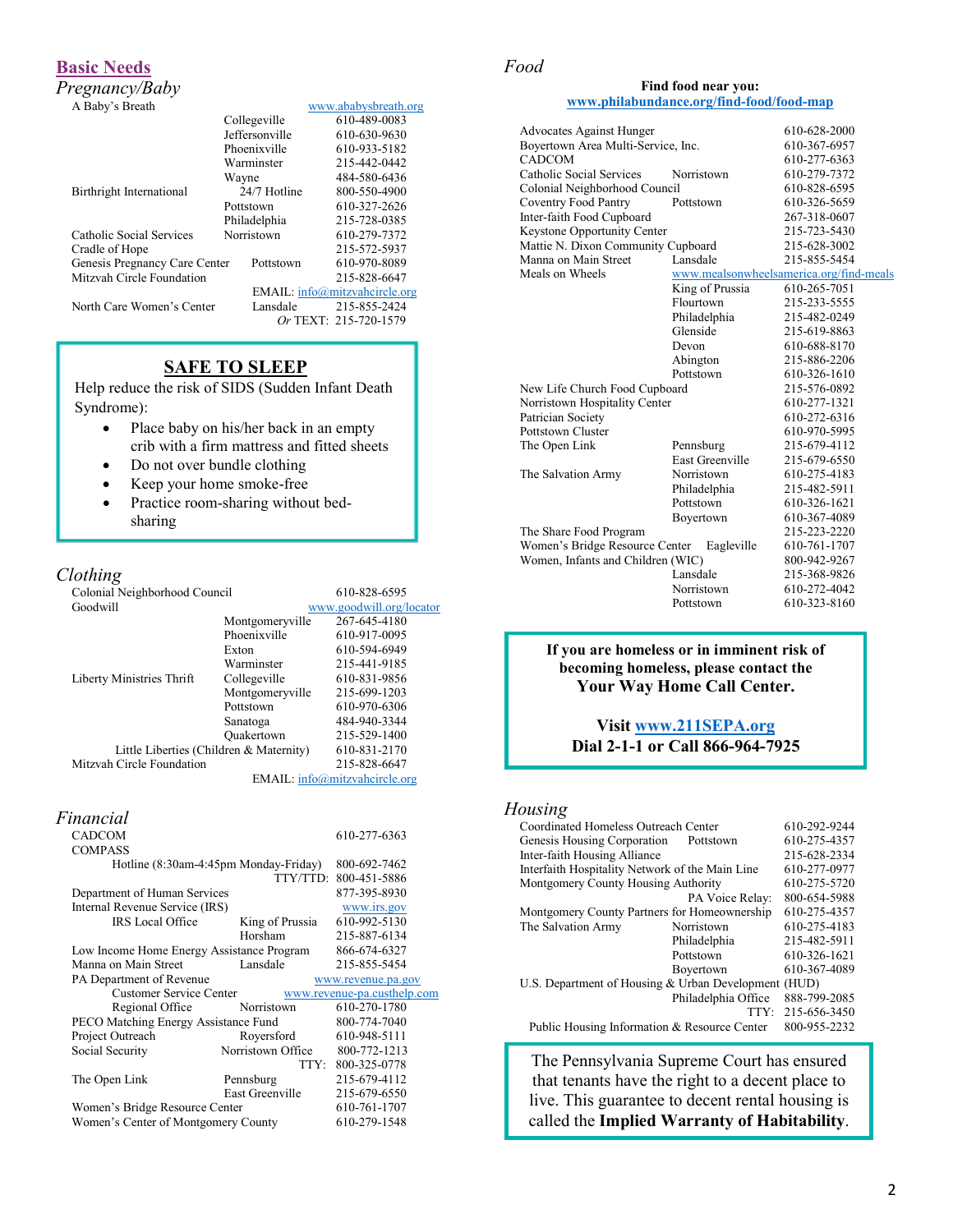## **Basic Needs**

*Pregnancy/Baby*

|  |  | A Baby's Breath |  |
|--|--|-----------------|--|
|--|--|-----------------|--|

| A Baby's Breath               |                | www.ababysbreath.org          |
|-------------------------------|----------------|-------------------------------|
|                               | Collegeville   | 610-489-0083                  |
|                               | Jeffersonville | 610-630-9630                  |
|                               | Phoenixville   | 610-933-5182                  |
|                               | Warminster     | 215-442-0442                  |
|                               | Wayne          | 484-580-6436                  |
| Birthright International      | 24/7 Hotline   | 800-550-4900                  |
|                               | Pottstown      | 610-327-2626                  |
|                               | Philadelphia   | 215-728-0385                  |
| Catholic Social Services      | Norristown     | 610-279-7372                  |
| Cradle of Hope                |                | 215-572-5937                  |
| Genesis Pregnancy Care Center | Pottstown      | 610-970-8089                  |
| Mitzvah Circle Foundation     |                | 215-828-6647                  |
|                               |                | EMAIL: info@mitzvahcircle.org |
| North Care Women's Center     | Lansdale       | 215-855-2424                  |
|                               |                | Or TEXT: 215-720-1579         |

## **SAFE TO SLEEP**

Help reduce the risk of SIDS (Sudden Infant Death Syndrome):

- Place baby on his/her back in an empty crib with a firm mattress and fitted sheets
- Do not over bundle clothing
- Keep your home smoke-free
- Practice room-sharing without bedsharing

## *Clothing*

| Colonial Neighborhood Council |                                         | 610-828-6595                  |
|-------------------------------|-----------------------------------------|-------------------------------|
| Goodwill                      |                                         | www.goodwill.org/locator      |
|                               | Montgomeryville                         | 267-645-4180                  |
|                               | Phoenixville                            | 610-917-0095                  |
|                               | Exton                                   | 610-594-6949                  |
|                               | Warminster                              | 215-441-9185                  |
| Liberty Ministries Thrift     | Collegeville                            | 610-831-9856                  |
|                               | Montgomeryville                         | 215-699-1203                  |
|                               | Pottstown                               | 610-970-6306                  |
|                               | Sanatoga                                | 484-940-3344                  |
|                               | Ouakertown                              | 215-529-1400                  |
|                               | Little Liberties (Children & Maternity) | 610-831-2170                  |
| Mitzvah Circle Foundation     |                                         | 215-828-6647                  |
|                               |                                         | EMAIL: info@mitzvahcircle.org |

| Financial                                 |                                       |                             |
|-------------------------------------------|---------------------------------------|-----------------------------|
| <b>CADCOM</b>                             |                                       | 610-277-6363                |
| <b>COMPASS</b>                            |                                       |                             |
|                                           | Hotline (8:30am-4:45pm Monday-Friday) | 800-692-7462                |
|                                           | TTY/TTD:                              | 800-451-5886                |
| Department of Human Services              |                                       | 877-395-8930                |
| Internal Revenue Service (IRS)            |                                       | www.irs.gov                 |
| <b>IRS</b> Local Office                   | King of Prussia                       | 610-992-5130                |
|                                           | Horsham                               | 215-887-6134                |
| Low Income Home Energy Assistance Program |                                       | 866-674-6327                |
| Manna on Main Street                      | Lansdale                              | 215-855-5454                |
| PA Department of Revenue                  |                                       | www.revenue.pa.gov          |
| <b>Customer Service Center</b>            |                                       | www.revenue-pa.custhelp.com |
| Regional Office                           | Norristown                            | 610-270-1780                |
| PECO Matching Energy Assistance Fund      |                                       | 800-774-7040                |
| Project Outreach                          | Royersford                            | 610-948-5111                |
| Social Security                           | Norristown Office                     | 800-772-1213                |
|                                           |                                       | TTY: 800-325-0778           |
| The Open Link                             | Pennsburg                             | 215-679-4112                |
|                                           | East Greenville                       | 215-679-6550                |
| Women's Bridge Resource Center            |                                       | 610-761-1707                |
| Women's Center of Montgomery County       |                                       | 610-279-1548                |

## *Food*

#### **Find food near you: [www.philabundance.org/find-food/food-map](http://www.philabundance.org/find-food/food-map)**

|                                                                | <b>Advocates Against Hunger</b>    |                        | 610-628-2000                            |
|----------------------------------------------------------------|------------------------------------|------------------------|-----------------------------------------|
|                                                                | Boyertown Area Multi-Service, Inc. |                        | 610-367-6957                            |
|                                                                | CADCOM                             |                        | 610-277-6363                            |
|                                                                | Catholic Social Services           | Norristown             | 610-279-7372                            |
|                                                                | Colonial Neighborhood Council      |                        | 610-828-6595                            |
|                                                                | <b>Coventry Food Pantry</b>        | Pottstown              | 610-326-5659                            |
|                                                                | Inter-faith Food Cupboard          |                        | 267-318-0607                            |
|                                                                | Keystone Opportunity Center        |                        | 215-723-5430                            |
|                                                                | Mattie N. Dixon Community Cupboard |                        | 215-628-3002                            |
|                                                                | Manna on Main Street               | Lansdale               | 215-855-5454                            |
|                                                                | Meals on Wheels                    |                        | www.mealsonwheelsamerica.org/find-meals |
|                                                                |                                    | King of Prussia        | 610-265-7051                            |
|                                                                |                                    | Flourtown              | 215-233-5555                            |
|                                                                |                                    | Philadelphia           | 215-482-0249                            |
|                                                                |                                    | Glenside               | 215-619-8863                            |
|                                                                |                                    | Devon                  | 610-688-8170                            |
|                                                                |                                    | Abington               | 215-886-2206                            |
|                                                                |                                    | Pottstown              | 610-326-1610                            |
| New Life Church Food Cupboard<br>Norristown Hospitality Center |                                    |                        | 215-576-0892                            |
|                                                                |                                    |                        | 610-277-1321                            |
|                                                                | Patrician Society                  |                        | 610-272-6316                            |
|                                                                | Pottstown Cluster                  |                        | 610-970-5995                            |
|                                                                | The Open Link                      | Pennsburg              | 215-679-4112                            |
|                                                                |                                    | <b>East Greenville</b> | 215-679-6550                            |
|                                                                | The Salvation Army                 | Norristown             | 610-275-4183                            |
|                                                                |                                    | Philadelphia           | 215-482-5911                            |
|                                                                |                                    | Pottstown              | 610-326-1621                            |
|                                                                |                                    | Boyertown              | 610-367-4089                            |
|                                                                | The Share Food Program             |                        | 215-223-2220                            |
|                                                                | Women's Bridge Resource Center     | Eagleville             | 610-761-1707                            |
|                                                                | Women, Infants and Children (WIC)  |                        | 800-942-9267                            |
|                                                                |                                    | Lansdale               | 215-368-9826                            |
|                                                                |                                    | Norristown             | 610-272-4042                            |
|                                                                |                                    | Pottstown              | 610-323-8160                            |

#### **If you are homeless or in imminent risk of becoming homeless, please contact the Your Way Home Call Center.**

#### **Visit [www.211SEPA.org](file://mcfs02/healthshare/CLINICAL/Community%20Development%20Coordinators/Interns%202019/Working%202019%20Resource%20Guide/www.211SEPA.org) Dial 2-1-1 or Call 866-964-7925**

## *Housing*

| Coordinated Homeless Outreach Center                 |                     | 610-292-9244 |
|------------------------------------------------------|---------------------|--------------|
| Genesis Housing Corporation                          | Pottstown           | 610-275-4357 |
| Inter-faith Housing Alliance                         |                     | 215-628-2334 |
| Interfaith Hospitality Network of the Main Line      |                     | 610-277-0977 |
| Montgomery County Housing Authority                  |                     | 610-275-5720 |
|                                                      | PA Voice Relay:     | 800-654-5988 |
| Montgomery County Partners for Homeownership         |                     | 610-275-4357 |
| The Salvation Army                                   | Norristown          | 610-275-4183 |
|                                                      | Philadelphia        | 215-482-5911 |
|                                                      | Pottstown           | 610-326-1621 |
|                                                      | Boyertown           | 610-367-4089 |
| U.S. Department of Housing & Urban Development (HUD) |                     |              |
|                                                      | Philadelphia Office | 888-799-2085 |
|                                                      | TTY:                | 215-656-3450 |
| Public Housing Information & Resource Center         |                     | 800-955-2232 |
|                                                      |                     |              |

The Pennsylvania Supreme Court has ensured that tenants have the right to a decent place to live. This guarantee to decent rental housing is called the **Implied Warranty of Habitability**.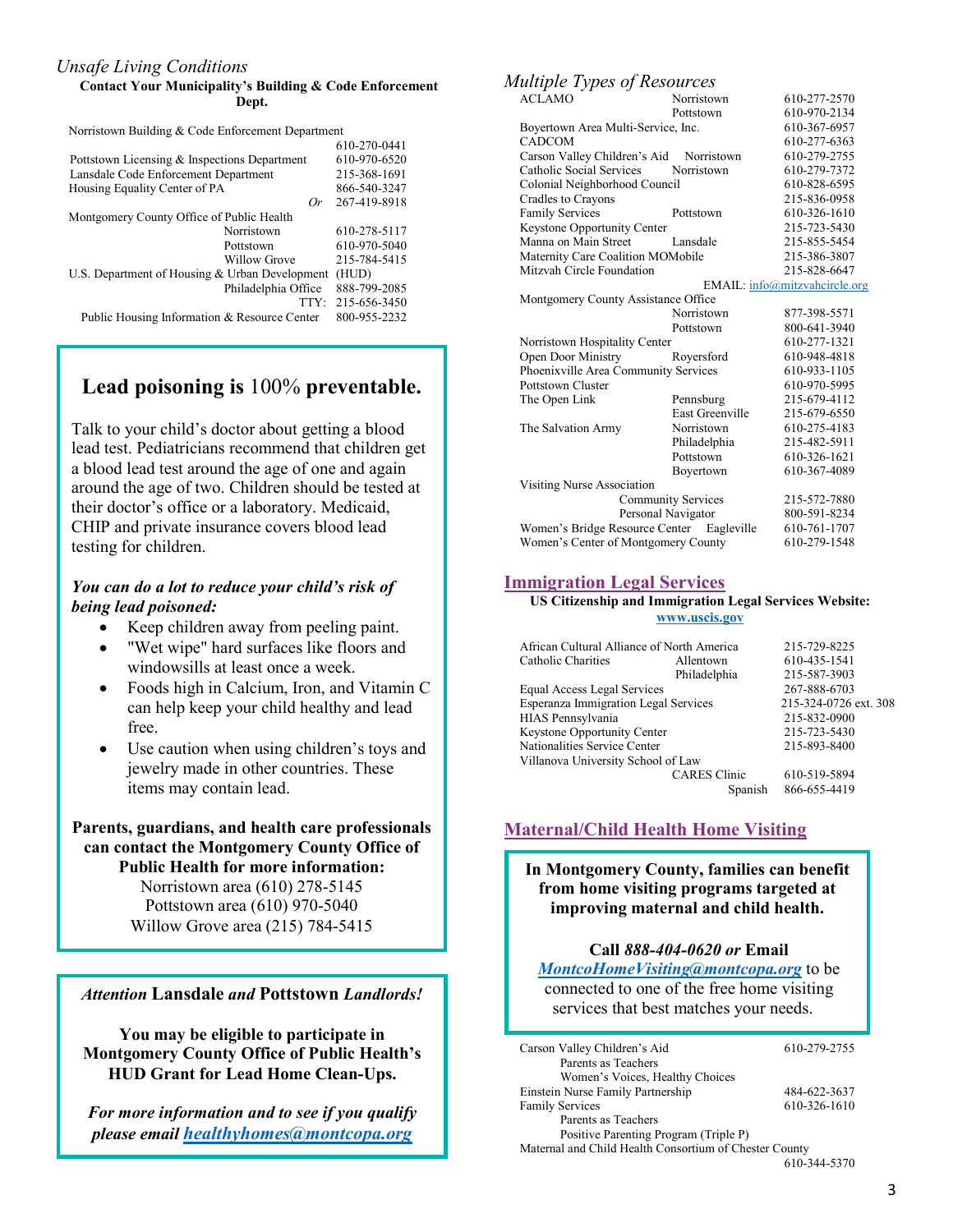## *Unsafe Living Conditions*

#### **Contact Your Municipality's Building & Code Enforcement Dept.**

Norristown Building & Code Enforcement Department

|                                                | 610-270-0441 |
|------------------------------------------------|--------------|
| Pottstown Licensing & Inspections Department   | 610-970-6520 |
| Lansdale Code Enforcement Department           | 215-368-1691 |
| Housing Equality Center of PA                  | 866-540-3247 |
| Or                                             | 267-419-8918 |
| Montgomery County Office of Public Health      |              |
| Norristown                                     | 610-278-5117 |
| Pottstown                                      | 610-970-5040 |
| Willow Grove                                   | 215-784-5415 |
| U.S. Department of Housing & Urban Development | (HUD)        |
| Philadelphia Office                            | 888-799-2085 |
| TTY:                                           | 215-656-3450 |
| Public Housing Information & Resource Center   | 800-955-2232 |
|                                                |              |

## **Lead poisoning is** 100% **preventable.**

Talk to your child's doctor about getting a blood lead test. Pediatricians recommend that children get a blood lead test around the age of one and again around the age of two. Children should be tested at their doctor's office or a laboratory. Medicaid, CHIP and private insurance covers blood lead testing for children.

## *You can do a lot to reduce your child's risk of being lead poisoned:*

- Keep children away from peeling paint.
- "Wet wipe" hard surfaces like floors and windowsills at least once a week.
- Foods high in Calcium, Iron, and Vitamin C can help keep your child healthy and lead free.
- Use caution when using children's toys and jewelry made in other countries. These items may contain lead.

## **Parents, guardians, and health care professionals can contact the Montgomery County Office of Public Health for more information:** Norristown area (610) 278-5145

Pottstown area (610) 970-5040 Willow Grove area (215) 784-5415

### *Attention* **Lansdale** *and* **Pottstown** *Landlords!*

**You may be eligible to participate in Montgomery County Office of Public Health's HUD Grant for Lead Home Clean-Ups.**

*For more information and to see if you qualify please email [healthyhomes@montcopa.org](mailto:healthyhomes@montcopa.org)*

## *Multiple Types of Resources*

| ╯                                         |                           |                               |
|-------------------------------------------|---------------------------|-------------------------------|
| <b>ACLAMO</b>                             | Norristown                | 610-277-2570                  |
|                                           | Pottstown                 | 610-970-2134                  |
| Boyertown Area Multi-Service, Inc.        |                           | 610-367-6957                  |
| <b>CADCOM</b>                             |                           | 610-277-6363                  |
| Carson Valley Children's Aid Norristown   |                           | 610-279-2755                  |
| Catholic Social Services                  | Norristown                | 610-279-7372                  |
| Colonial Neighborhood Council             |                           | 610-828-6595                  |
| Cradles to Crayons                        |                           | 215-836-0958                  |
| <b>Family Services</b>                    | Pottstown                 | 610-326-1610                  |
| Keystone Opportunity Center               |                           | 215-723-5430                  |
| Manna on Main Street                      | Lansdale                  | 215-855-5454                  |
| Maternity Care Coalition MOMobile         |                           | 215-386-3807                  |
| Mitzvah Circle Foundation                 |                           | 215-828-6647                  |
|                                           |                           | EMAIL: info@mitzvahcircle.org |
| Montgomery County Assistance Office       |                           |                               |
|                                           | Norristown                | 877-398-5571                  |
|                                           | Pottstown                 | 800-641-3940                  |
| Norristown Hospitality Center             |                           | 610-277-1321                  |
| Open Door Ministry                        | Royersford                | 610-948-4818                  |
| Phoenixville Area Community Services      |                           | 610-933-1105                  |
| <b>Pottstown Cluster</b>                  |                           | 610-970-5995                  |
| The Open Link                             | Pennsburg                 | 215-679-4112                  |
|                                           | <b>East Greenville</b>    | 215-679-6550                  |
| The Salvation Army                        | Norristown                | 610-275-4183                  |
|                                           | Philadelphia              | 215-482-5911                  |
|                                           | Pottstown                 | 610-326-1621                  |
|                                           | Boyertown                 | 610-367-4089                  |
| Visiting Nurse Association                |                           |                               |
|                                           | <b>Community Services</b> | 215-572-7880                  |
|                                           | Personal Navigator        | 800-591-8234                  |
| Women's Bridge Resource Center Eagleville |                           | 610-761-1707                  |
| Women's Center of Montgomery County       |                           | 610-279-1548                  |

## **Immigration Legal Services**

#### **US Citizenship and Immigration Legal Services Website: [www.uscis.gov](http://www.uscis.gov/)**

| African Cultural Alliance of North America  |                     | 215-729-8225          |
|---------------------------------------------|---------------------|-----------------------|
| Catholic Charities                          | Allentown           | 610-435-1541          |
|                                             | Philadelphia        | 215-587-3903          |
| Equal Access Legal Services                 |                     | 267-888-6703          |
| <b>Esperanza Immigration Legal Services</b> |                     | 215-324-0726 ext. 308 |
| HIAS Pennsylvania                           |                     | 215-832-0900          |
| Keystone Opportunity Center                 |                     | 215-723-5430          |
| Nationalities Service Center                |                     | 215-893-8400          |
| Villanova University School of Law          |                     |                       |
|                                             | <b>CARES</b> Clinic | 610-519-5894          |
|                                             | Spanish             | 866-655-4419          |
|                                             |                     |                       |

## **Maternal/Child Health Home Visiting**

**In Montgomery County, families can benefit from home visiting programs targeted at improving maternal and child health.**

## **Call** *888-404-0620 or* **Email**

*[MontcoHomeVisiting@montcopa.org](mailto:MontcoHomeVisiting@montcopa.org)* to be connected to one of the free home visiting services that best matches your needs.

| Carson Valley Children's Aid                           | 610-279-2755 |
|--------------------------------------------------------|--------------|
| Parents as Teachers                                    |              |
| Women's Voices, Healthy Choices                        |              |
| Einstein Nurse Family Partnership                      | 484-622-3637 |
| <b>Family Services</b>                                 | 610-326-1610 |
| Parents as Teachers                                    |              |
| Positive Parenting Program (Triple P)                  |              |
| Maternal and Child Health Consortium of Chester County |              |

610-344-5370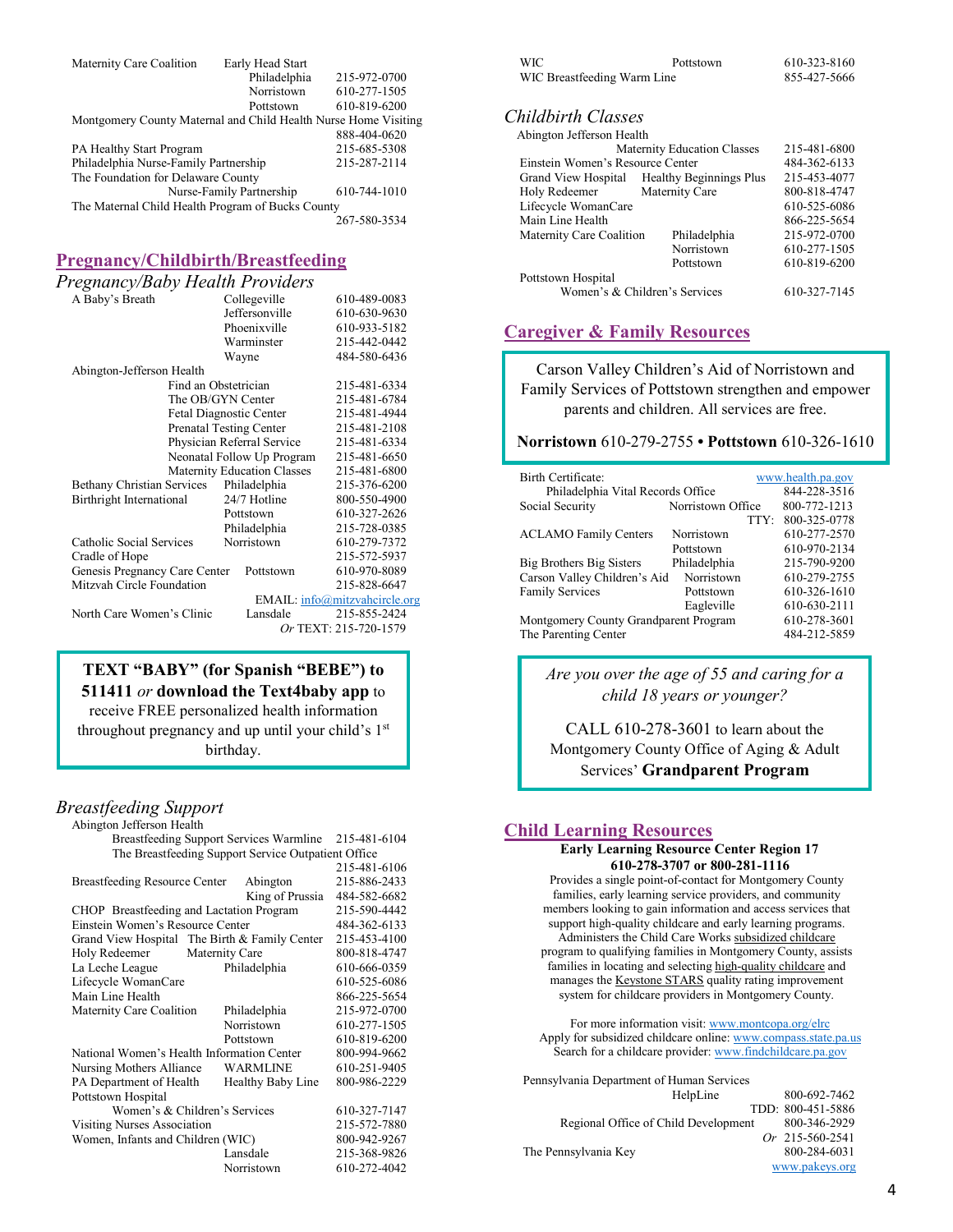| Maternity Care Coalition                                        | Early Head Start         |              |
|-----------------------------------------------------------------|--------------------------|--------------|
|                                                                 | Philadelphia             | 215-972-0700 |
|                                                                 | Norristown               | 610-277-1505 |
|                                                                 | Pottstown                | 610-819-6200 |
| Montgomery County Maternal and Child Health Nurse Home Visiting |                          |              |
|                                                                 |                          | 888-404-0620 |
| PA Healthy Start Program                                        |                          | 215-685-5308 |
| Philadelphia Nurse-Family Partnership                           |                          | 215-287-2114 |
| The Foundation for Delaware County                              |                          |              |
|                                                                 | Nurse-Family Partnership | 610-744-1010 |
| The Maternal Child Health Program of Bucks County               |                          |              |
|                                                                 |                          | 267-580-3534 |

## **Pregnancy/Childbirth/Breastfeeding**

| Pregnancy/Baby Health Providers            |                               |
|--------------------------------------------|-------------------------------|
| Collegeville                               | 610-489-0083                  |
| Jeffersonville                             | 610-630-9630                  |
| Phoenixville                               | 610-933-5182                  |
| Warminster                                 | 215-442-0442                  |
| Wayne                                      | 484-580-6436                  |
|                                            |                               |
| Find an Obstetrician                       | 215-481-6334                  |
| The OB/GYN Center                          | 215-481-6784                  |
| Fetal Diagnostic Center                    | 215-481-4944                  |
| <b>Prenatal Testing Center</b>             | 215-481-2108                  |
| Physician Referral Service                 | 215-481-6334                  |
| Neonatal Follow Up Program                 | 215-481-6650                  |
| <b>Maternity Education Classes</b>         | 215-481-6800                  |
| Bethany Christian Services<br>Philadelphia | 215-376-6200                  |
| 24/7 Hotline                               | 800-550-4900                  |
| Pottstown                                  | 610-327-2626                  |
| Philadelphia                               | 215-728-0385                  |
| Norristown                                 | 610-279-7372                  |
|                                            | 215-572-5937                  |
| Genesis Pregnancy Care Center<br>Pottstown | 610-970-8089                  |
|                                            | 215-828-6647                  |
|                                            | EMAIL: info@mitzvahcircle.org |
| Lansdale                                   | 215-855-2424                  |
|                                            | Or TEXT: 215-720-1579         |
|                                            |                               |

## **TEXT "BABY" (for Spanish "BEBE") to 511411** *or* **download the Text4baby app** to

receive FREE personalized health information throughout pregnancy and up until your child's 1<sup>st</sup>

birthday.

#### *Breastfeeding Support*  $A$ bington Jefferson Health

|                     |                                                                                                                                                   | 215-481-6104                                                                                                                                                                                                                                                                                                                                                                                                                              |
|---------------------|---------------------------------------------------------------------------------------------------------------------------------------------------|-------------------------------------------------------------------------------------------------------------------------------------------------------------------------------------------------------------------------------------------------------------------------------------------------------------------------------------------------------------------------------------------------------------------------------------------|
|                     |                                                                                                                                                   |                                                                                                                                                                                                                                                                                                                                                                                                                                           |
|                     |                                                                                                                                                   | 215-481-6106                                                                                                                                                                                                                                                                                                                                                                                                                              |
|                     | Abington                                                                                                                                          | 215-886-2433                                                                                                                                                                                                                                                                                                                                                                                                                              |
|                     | King of Prussia                                                                                                                                   | 484-582-6682                                                                                                                                                                                                                                                                                                                                                                                                                              |
|                     |                                                                                                                                                   | 215-590-4442                                                                                                                                                                                                                                                                                                                                                                                                                              |
|                     |                                                                                                                                                   | 484-362-6133                                                                                                                                                                                                                                                                                                                                                                                                                              |
|                     |                                                                                                                                                   | 215-453-4100                                                                                                                                                                                                                                                                                                                                                                                                                              |
| Holy Redeemer       |                                                                                                                                                   | 800-818-4747                                                                                                                                                                                                                                                                                                                                                                                                                              |
| La Leche League     | Philadelphia                                                                                                                                      | 610-666-0359                                                                                                                                                                                                                                                                                                                                                                                                                              |
| Lifecycle WomanCare |                                                                                                                                                   | 610-525-6086                                                                                                                                                                                                                                                                                                                                                                                                                              |
| Main Line Health    |                                                                                                                                                   | 866-225-5654                                                                                                                                                                                                                                                                                                                                                                                                                              |
|                     | Philadelphia                                                                                                                                      | 215-972-0700                                                                                                                                                                                                                                                                                                                                                                                                                              |
|                     |                                                                                                                                                   | 610-277-1505                                                                                                                                                                                                                                                                                                                                                                                                                              |
|                     | Pottstown                                                                                                                                         | 610-819-6200                                                                                                                                                                                                                                                                                                                                                                                                                              |
|                     |                                                                                                                                                   | 800-994-9662                                                                                                                                                                                                                                                                                                                                                                                                                              |
|                     | <b>WARMLINE</b>                                                                                                                                   | 610-251-9405                                                                                                                                                                                                                                                                                                                                                                                                                              |
|                     | Healthy Baby Line                                                                                                                                 | 800-986-2229                                                                                                                                                                                                                                                                                                                                                                                                                              |
| Pottstown Hospital  |                                                                                                                                                   |                                                                                                                                                                                                                                                                                                                                                                                                                                           |
|                     |                                                                                                                                                   | 610-327-7147                                                                                                                                                                                                                                                                                                                                                                                                                              |
|                     |                                                                                                                                                   | 215-572-7880                                                                                                                                                                                                                                                                                                                                                                                                                              |
|                     |                                                                                                                                                   | 800-942-9267                                                                                                                                                                                                                                                                                                                                                                                                                              |
|                     | Lansdale                                                                                                                                          | 215-368-9826                                                                                                                                                                                                                                                                                                                                                                                                                              |
|                     |                                                                                                                                                   | 610-272-4042                                                                                                                                                                                                                                                                                                                                                                                                                              |
|                     | донідклі эспензон пеанін<br>Maternity Care Coalition<br>Nursing Mothers Alliance<br>PA Department of Health<br><b>Visiting Nurses Association</b> | <b>Breastfeeding Support Services Warmline</b><br>The Breastfeeding Support Service Outpatient Office<br>Breastfeeding Resource Center<br>CHOP Breastfeeding and Lactation Program<br>Einstein Women's Resource Center<br>Grand View Hospital The Birth & Family Center<br>Maternity Care<br>Norristown<br>National Women's Health Information Center<br>Women's & Children's Services<br>Women, Infants and Children (WIC)<br>Norristown |

| WIC.                        | Pottstown | 610-323-8160 |
|-----------------------------|-----------|--------------|
| WIC Breastfeeding Warm Line |           | 855-427-5666 |

## *Childbirth Classes*

| Abington Jefferson Health        |                                    |              |
|----------------------------------|------------------------------------|--------------|
|                                  | <b>Maternity Education Classes</b> | 215-481-6800 |
| Einstein Women's Resource Center |                                    | 484-362-6133 |
| Grand View Hospital              | <b>Healthy Beginnings Plus</b>     | 215-453-4077 |
| Holy Redeemer                    | Maternity Care                     | 800-818-4747 |
| Lifecycle WomanCare              |                                    | 610-525-6086 |
| Main Line Health                 |                                    | 866-225-5654 |
| Maternity Care Coalition         | Philadelphia                       | 215-972-0700 |
|                                  | Norristown                         | 610-277-1505 |
|                                  | Pottstown                          | 610-819-6200 |
| Pottstown Hospital               |                                    |              |
|                                  | Women's & Children's Services      | 610-327-7145 |
|                                  |                                    |              |

## **Caregiver & Family Resources**

Carson Valley Children's Aid of Norristown and Family Services of Pottstown strengthen and empower parents and children. All services are free.

#### **Norristown** 610-279-2755 **• Pottstown** 610-326-1610

| Birth Certificate:<br>Philadelphia Vital Records Office |                   | www.health.pa.gov<br>844-228-3516 |
|---------------------------------------------------------|-------------------|-----------------------------------|
| Social Security                                         | Norristown Office | 800-772-1213                      |
|                                                         | TTY:              | 800-325-0778                      |
| <b>ACLAMO</b> Family Centers                            | Norristown        | 610-277-2570                      |
|                                                         | Pottstown         | 610-970-2134                      |
| Big Brothers Big Sisters                                | Philadelphia      | 215-790-9200                      |
| Carson Valley Children's Aid                            | Norristown        | 610-279-2755                      |
| <b>Family Services</b>                                  | Pottstown         | 610-326-1610                      |
|                                                         | Eagleville        | 610-630-2111                      |
| Montgomery County Grandparent Program                   |                   | 610-278-3601                      |
| The Parenting Center                                    |                   | 484-212-5859                      |

*Are you over the age of 55 and caring for a child 18 years or younger?*

CALL 610-278-3601 to learn about the Montgomery County Office of Aging & Adult Services' **Grandparent Program**

#### **Child Learning Resources**

#### **[Early Learning Resource Center Region 17](https://www.montcopa.org/elrc) 610-278-3707 or 800-281-1116**

Provides a single point-of-contact for Montgomery County families, early learning service providers, and community members looking to gain information and access services that support high-quality childcare and early learning programs. Administers the Child Care Works subsidized childcare program to qualifying families in Montgomery County, assists families in locating and selecting high-quality childcare and manages the Keystone STARS quality rating improvement system for childcare providers in Montgomery County.

For more information visit: [www.montcopa.org/elrc](http://www.montcopa.org/elrc) Apply for subsidized childcare online: [www.compass.state.pa.us](http://www.compass.state.pa.us/) Search for a childcare provider[: www.findchildcare.pa.gov](http://www.findchildcare.pa.gov/)

| Pennsylvania Department of Human Services |                       |
|-------------------------------------------|-----------------------|
| HelpLine                                  | 800-692-7462          |
|                                           | TDD: 800-451-5886     |
| Regional Office of Child Development      | 800-346-2929          |
|                                           | Or $215 - 560 - 2541$ |
| The Pennsylvania Key                      | 800-284-6031          |
|                                           | www.pakevs.org        |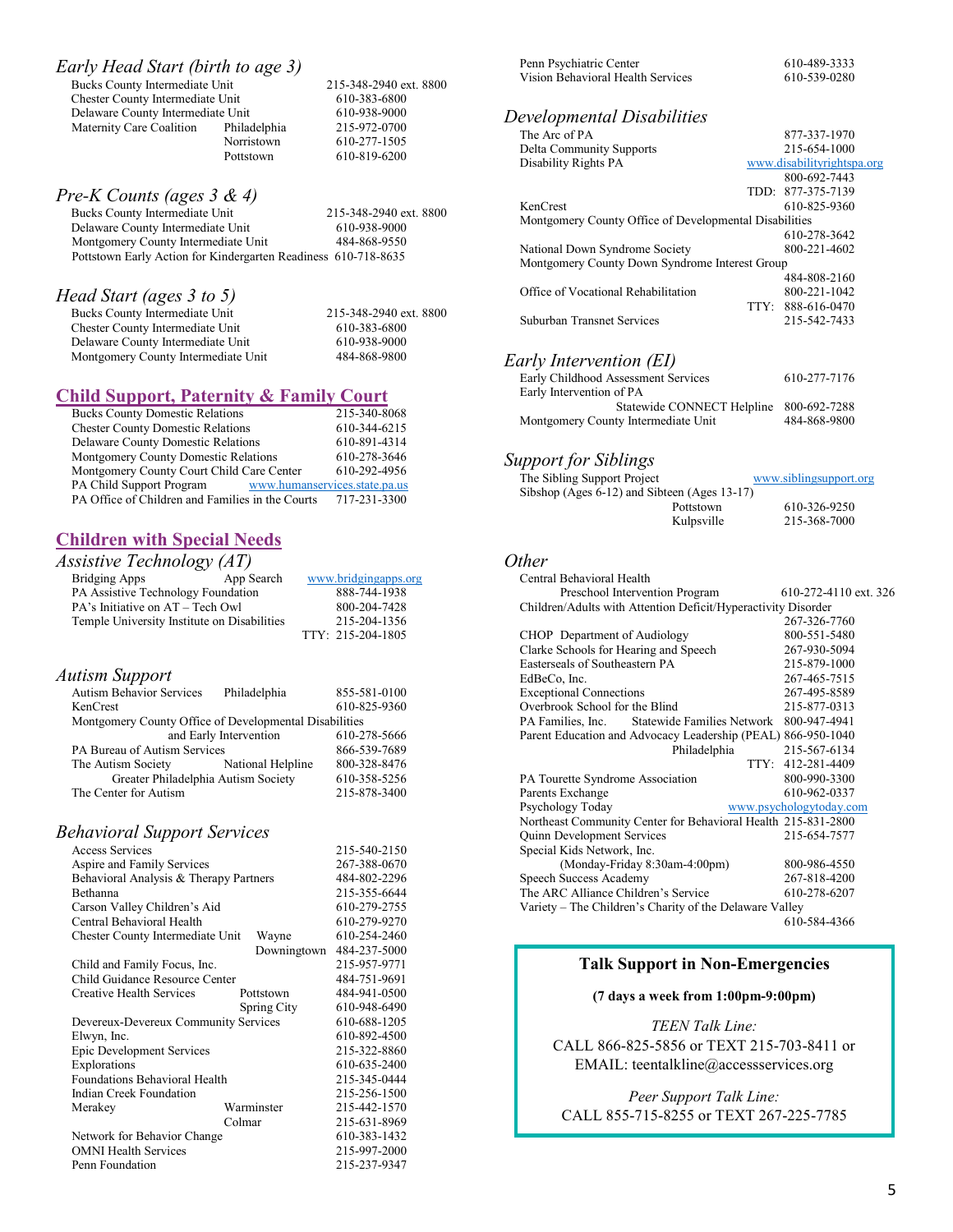| Early Head Start (birth to age 3) |              |                        |
|-----------------------------------|--------------|------------------------|
| Bucks County Intermediate Unit    |              | 215-348-2940 ext. 8800 |
| Chester County Intermediate Unit  |              | 610-383-6800           |
| Delaware County Intermediate Unit |              | 610-938-9000           |
| Maternity Care Coalition          | Philadelphia | 215-972-0700           |
|                                   | Norristown   | 610-277-1505           |
|                                   | Pottstown    | 610-819-6200           |
|                                   |              |                        |

*Pre-K Counts (ages 3 & 4)*

| Bucks County Intermediate Unit                                 | 215-348-2940 ext. 8800 |
|----------------------------------------------------------------|------------------------|
| Delaware County Intermediate Unit                              | 610-938-9000           |
| Montgomery County Intermediate Unit                            | 484-868-9550           |
| Pottstown Early Action for Kindergarten Readiness 610-718-8635 |                        |
|                                                                |                        |

## *Head Start (ages 3 to 5)*

| Bucks County Intermediate Unit      | 215-348-2940 ext. 8800 |
|-------------------------------------|------------------------|
| Chester County Intermediate Unit    | 610-383-6800           |
| Delaware County Intermediate Unit   | 610-938-9000           |
| Montgomery County Intermediate Unit | 484-868-9800           |

## **Child Support, Paternity & Family Court**

| <b>Bucks County Domestic Relations</b>           | 215-340-8068                  |
|--------------------------------------------------|-------------------------------|
| <b>Chester County Domestic Relations</b>         | 610-344-6215                  |
| <b>Delaware County Domestic Relations</b>        | 610-891-4314                  |
| Montgomery County Domestic Relations             | 610-278-3646                  |
| Montgomery County Court Child Care Center        | 610-292-4956                  |
| PA Child Support Program                         | www.humanservices.state.pa.us |
| PA Office of Children and Families in the Courts | 717-231-3300                  |

## **Children with Special Needs**

| Assistive Technology $(AT)$                 |            |                      |  |  |
|---------------------------------------------|------------|----------------------|--|--|
| <b>Bridging Apps</b>                        | App Search | www.bridgingapps.org |  |  |
| PA Assistive Technology Foundation          |            | 888-744-1938         |  |  |
| PA's Initiative on AT – Tech Owl            |            | 800-204-7428         |  |  |
| Temple University Institute on Disabilities |            | 215-204-1356         |  |  |
|                                             |            | TTY: 215-204-1805    |  |  |

## *Autism Support*

| <b>Autism Behavior Services</b>                        | Philadelphia           | 855-581-0100 |
|--------------------------------------------------------|------------------------|--------------|
| KenCrest                                               |                        | 610-825-9360 |
| Montgomery County Office of Developmental Disabilities |                        |              |
|                                                        | and Early Intervention | 610-278-5666 |
| PA Bureau of Autism Services                           |                        | 866-539-7689 |
| The Autism Society                                     | National Helpline      | 800-328-8476 |
| Greater Philadelphia Autism Society                    |                        | 610-358-5256 |
| The Center for Autism                                  |                        | 215-878-3400 |
|                                                        |                        |              |

## *Behavioral Support Services*

| Access Services                        |        |             | 215-540-2150 |
|----------------------------------------|--------|-------------|--------------|
| Aspire and Family Services             |        |             | 267-388-0670 |
| Behavioral Analysis & Therapy Partners |        |             | 484-802-2296 |
| <b>Bethanna</b>                        |        |             | 215-355-6644 |
| Carson Valley Children's Aid           |        |             | 610-279-2755 |
| Central Behavioral Health              |        |             | 610-279-9270 |
| Chester County Intermediate Unit       |        | Wayne       | 610-254-2460 |
|                                        |        | Downingtown | 484-237-5000 |
| Child and Family Focus, Inc.           |        |             | 215-957-9771 |
| Child Guidance Resource Center         |        |             | 484-751-9691 |
| Creative Health Services               |        | Pottstown   | 484-941-0500 |
|                                        |        | Spring City | 610-948-6490 |
| Devereux-Devereux Community Services   |        |             | 610-688-1205 |
| Elwyn, Inc.                            |        |             | 610-892-4500 |
| <b>Epic Development Services</b>       |        |             | 215-322-8860 |
| Explorations                           |        |             | 610-635-2400 |
| Foundations Behavioral Health          |        |             | 215-345-0444 |
| Indian Creek Foundation                |        |             | 215-256-1500 |
| Merakey                                |        | Warminster  | 215-442-1570 |
|                                        | Colmar |             | 215-631-8969 |
| Network for Behavior Change            |        |             | 610-383-1432 |
| <b>OMNI Health Services</b>            |        |             | 215-997-2000 |
| Penn Foundation                        |        |             | 215-237-9347 |
|                                        |        |             |              |

| Penn Psychiatric Center           | 610-489-3333 |
|-----------------------------------|--------------|
| Vision Behavioral Health Services | 610-539-0280 |

# *Developmental Disabilities*

| Developmental Disabilities                                    |                              |
|---------------------------------------------------------------|------------------------------|
| The Arc of PA                                                 | 877-337-1970                 |
| Delta Community Supports                                      | 215-654-1000                 |
| Disability Rights PA                                          | www.disabilityrightspa.org   |
|                                                               | 800-692-7443                 |
|                                                               | 877-375-7139<br>TDD:         |
| KenCrest                                                      | 610-825-9360                 |
| Montgomery County Office of Developmental Disabilities        |                              |
|                                                               | 610-278-3642                 |
| National Down Syndrome Society                                | 800-221-4602                 |
| Montgomery County Down Syndrome Interest Group                |                              |
| Office of Vocational Rehabilitation                           | 484-808-2160<br>800-221-1042 |
|                                                               | TTY:<br>888-616-0470         |
| Suburban Transnet Services                                    | 215-542-7433                 |
|                                                               |                              |
|                                                               |                              |
| Early Intervention (EI)                                       |                              |
| Early Childhood Assessment Services                           | 610-277-7176                 |
| Early Intervention of PA                                      |                              |
| Statewide CONNECT Helpline                                    | 800-692-7288                 |
| Montgomery County Intermediate Unit                           | 484-868-9800                 |
|                                                               |                              |
|                                                               |                              |
| <b>Support for Siblings</b>                                   |                              |
| The Sibling Support Project                                   | www.siblingsupport.org       |
| Sibshop (Ages 6-12) and Sibteen (Ages 13-17)                  |                              |
| Pottstown                                                     | 610-326-9250                 |
| Kulpsville                                                    | 215-368-7000                 |
|                                                               |                              |
| <i>Other</i>                                                  |                              |
| Central Behavioral Health                                     |                              |
| Preschool Intervention Program                                | 610-272-4110 ext. 326        |
| Children/Adults with Attention Deficit/Hyperactivity Disorder |                              |
|                                                               | 267-326-7760                 |
| CHOP Department of Audiology                                  | 800-551-5480                 |
| Clarke Schools for Hearing and Speech                         | 267-930-5094                 |
| Easterseals of Southeastern PA                                | 215-879-1000                 |
| EdBeCo, Inc.                                                  | 267-465-7515                 |
| <b>Exceptional Connections</b>                                | 267-495-8589                 |
| Overbrook School for the Blind                                | 215-877-0313                 |
| PA Families, Inc.<br><b>Statewide Families Network</b>        | 800-947-4941                 |
| Parent Education and Advocacy Leadership (PEAL) 866-950-1040  |                              |
| Philadelphia                                                  | 215-567-6134                 |
|                                                               | TTY: 412-281-4409            |
|                                                               | 800-990-3300                 |
| PA Tourette Syndrome Association<br>Parents Exchange          | 610-962-0337                 |
| Psychology Today                                              | www.psychologytoday.com      |
| Northeast Community Center for Behavioral Health 215-831-2800 |                              |
| Quinn Development Services                                    | 215-654-7577                 |
| Special Kids Network, Inc.                                    |                              |
| (Monday-Friday 8:30am-4:00pm)                                 | 800-986-4550                 |
| Speech Success Academy                                        | 267-818-4200                 |
| The ARC Alliance Children's Service                           | 610-278-6207                 |
| Variety - The Children's Charity of the Delaware Valley       |                              |
|                                                               |                              |

610-584-4366

## **Talk Support in Non-Emergencies**

#### **(7 days a week from 1:00pm-9:00pm)**

*TEEN Talk Line:* CALL 866-825-5856 or TEXT 215-703-8411 or EMAIL: teentalkline@accessservices.org

*Peer Support Talk Line:* CALL 855-715-8255 or TEXT 267-225-7785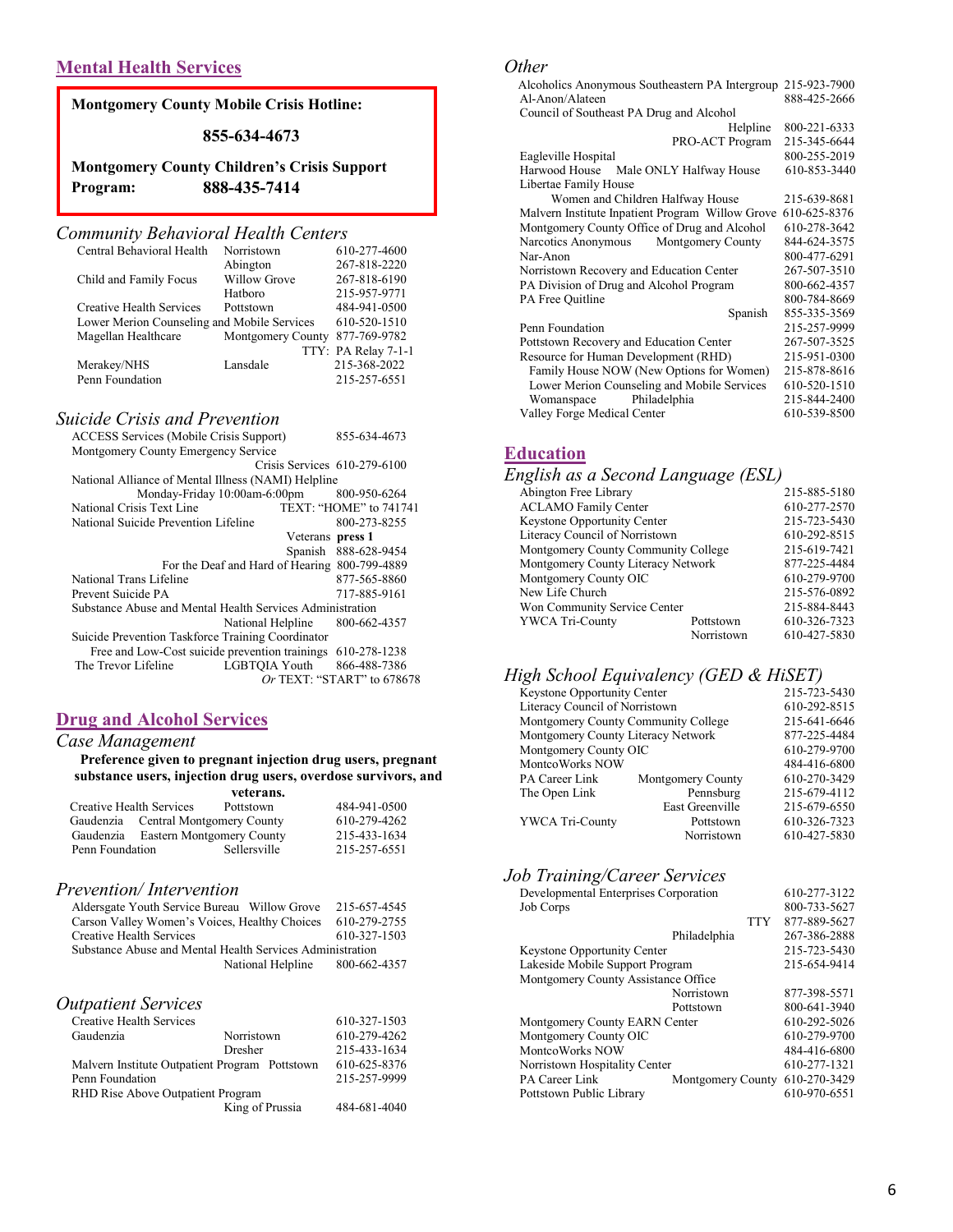## **Mental Health Services**

## **Montgomery County Mobile Crisis Hotline:**

#### **855-634-4673**

**Montgomery County Children's Crisis Support Program: 888-435-7414**

## *Community Behavioral Health Centers*

| 610-277-4600        |
|---------------------|
| 267-818-2220        |
| 267-818-6190        |
| 215-957-9771        |
| 484-941-0500        |
| 610-520-1510        |
| 877-769-9782        |
| TTY: PA Relay 7-1-1 |
| 215-368-2022        |
| 215-257-6551        |
|                     |

## *Suicide Crisis and Prevention*

| <b>ACCESS Services (Mobile Crisis Support)</b>            | 855-634-4673                   |
|-----------------------------------------------------------|--------------------------------|
| Montgomery County Emergency Service                       |                                |
|                                                           | Crisis Services $610-279-6100$ |
| National Alliance of Mental Illness (NAMI) Helpline       |                                |
| Monday-Friday 10:00am-6:00pm                              | 800-950-6264                   |
| National Crisis Text Line                                 | TEXT: "HOME" to 741741         |
| National Suicide Prevention Lifeline                      | 800-273-8255                   |
| Veterans press 1                                          |                                |
| Spanish                                                   | 888-628-9454                   |
| For the Deaf and Hard of Hearing 800-799-4889             |                                |
| National Trans Lifeline                                   | 877-565-8860                   |
| Prevent Suicide PA                                        | 717-885-9161                   |
| Substance Abuse and Mental Health Services Administration |                                |
| National Helpline                                         | 800-662-4357                   |
| Suicide Prevention Taskforce Training Coordinator         |                                |
| Free and Low-Cost suicide prevention trainings            | 610-278-1238                   |
| The Trevor Lifeline<br>LGBTOIA Youth                      | 866-488-7386                   |
|                                                           | Or TEXT: "START" to $678678$   |

## **Drug and Alcohol Services**

#### *Case Management*

#### **Preference given to pregnant injection drug users, pregnant substance users, injection drug users, overdose survivors, and veterans.**

| Creative Health Services<br>Gaudenzia<br>Gaudenzia |  | Pottstown       | 484-941-0500                                                         |  |
|----------------------------------------------------|--|-----------------|----------------------------------------------------------------------|--|
|                                                    |  |                 | 610-279-4262                                                         |  |
|                                                    |  |                 | 215-433-1634                                                         |  |
|                                                    |  | Sellersville    | 215-257-6551                                                         |  |
|                                                    |  | Penn Foundation | усісі апэ.<br>Central Montgomery County<br>Eastern Montgomery County |  |

#### *Prevention/ Intervention*

| Aldersgate Youth Service Bureau Willow Grove              |                                | 215-657-4545 |
|-----------------------------------------------------------|--------------------------------|--------------|
| Carson Valley Women's Voices, Healthy Choices             |                                | 610-279-2755 |
| Creative Health Services                                  |                                | 610-327-1503 |
| Substance Abuse and Mental Health Services Administration |                                |              |
|                                                           | National Helpline 800-662-4357 |              |
|                                                           |                                |              |
|                                                           |                                |              |
| <i><b>Outpatient Services</b></i>                         |                                |              |
| Creative Health Services                                  |                                | 610-327-1503 |
| $C$ and angles                                            | $N_{\text{count}}$             | 610.270.425  |

| Gaudenzia                         | Norristown                                     | 610-279-4262 |
|-----------------------------------|------------------------------------------------|--------------|
|                                   | Dresher                                        | 215-433-1634 |
|                                   | Malvern Institute Outpatient Program Pottstown | 610-625-8376 |
| Penn Foundation                   |                                                | 215-257-9999 |
| RHD Rise Above Outpatient Program |                                                |              |
|                                   | King of Prussia                                | 484-681-4040 |
|                                   |                                                |              |

#### *Other*

| Other                                            |              |
|--------------------------------------------------|--------------|
| Alcoholics Anonymous Southeastern PA Intergroup  | 215-923-7900 |
| Al-Anon/Alateen                                  | 888-425-2666 |
| Council of Southeast PA Drug and Alcohol         |              |
| Helpline                                         | 800-221-6333 |
| PRO-ACT Program                                  | 215-345-6644 |
| Eagleville Hospital                              | 800-255-2019 |
| Male ONLY Halfway House<br>Harwood House         | 610-853-3440 |
| Libertae Family House                            |              |
| Women and Children Halfway House                 | 215-639-8681 |
| Malvern Institute Inpatient Program Willow Grove | 610-625-8376 |
| Montgomery County Office of Drug and Alcohol     | 610-278-3642 |
| Montgomery County<br>Narcotics Anonymous         | 844-624-3575 |
| Nar-Anon                                         | 800-477-6291 |
| Norristown Recovery and Education Center         | 267-507-3510 |
| PA Division of Drug and Alcohol Program          | 800-662-4357 |
| PA Free Quitline                                 | 800-784-8669 |
| Spanish                                          | 855-335-3569 |
| Penn Foundation                                  | 215-257-9999 |
| Pottstown Recovery and Education Center          | 267-507-3525 |
| Resource for Human Development (RHD)             | 215-951-0300 |
| Family House NOW (New Options for Women)         | 215-878-8616 |

## **Education**

#### *English as a Second Language (ESL)*

| $\mathbf{r}$                        |            |              |
|-------------------------------------|------------|--------------|
| Abington Free Library               |            | 215-885-5180 |
| <b>ACLAMO Family Center</b>         |            | 610-277-2570 |
| Keystone Opportunity Center         |            | 215-723-5430 |
| Literacy Council of Norristown      |            | 610-292-8515 |
| Montgomery County Community College |            | 215-619-7421 |
| Montgomery County Literacy Network  |            | 877-225-4484 |
| Montgomery County OIC               |            | 610-279-9700 |
| New Life Church                     |            | 215-576-0892 |
| Won Community Service Center        |            | 215-884-8443 |
| <b>YWCA Tri-County</b>              | Pottstown  | 610-326-7323 |
|                                     | Norristown | 610-427-5830 |

Lower Merion Counseling and Mobile Services 610-520-1510 Womanspace Philadelphia 215-844-2400 Valley Forge Medical Center 610-539-8500

#### *High School Equivalency (GED & HiSET)*

| Keystone Opportunity Center         |                   | 215-723-5430 |
|-------------------------------------|-------------------|--------------|
| Literacy Council of Norristown      |                   | 610-292-8515 |
| Montgomery County Community College |                   | 215-641-6646 |
| Montgomery County Literacy Network  |                   | 877-225-4484 |
| Montgomery County OIC               |                   | 610-279-9700 |
| MontcoWorks NOW                     |                   | 484-416-6800 |
| PA Career Link                      | Montgomery County | 610-270-3429 |
| The Open Link                       | Pennsburg         | 215-679-4112 |
|                                     | East Greenville   | 215-679-6550 |
| <b>YWCA Tri-County</b>              | Pottstown         | 610-326-7323 |
|                                     | Norristown        | 610-427-5830 |
|                                     |                   |              |

#### *Job Training/Career Services*

| Developmental Enterprises Corporation |                   |            | 610-277-3122 |
|---------------------------------------|-------------------|------------|--------------|
| Job Corps                             |                   |            | 800-733-5627 |
|                                       |                   | <b>TTY</b> | 877-889-5627 |
|                                       | Philadelphia      |            | 267-386-2888 |
| <b>Keystone Opportunity Center</b>    |                   |            | 215-723-5430 |
| Lakeside Mobile Support Program       |                   |            | 215-654-9414 |
| Montgomery County Assistance Office   |                   |            |              |
|                                       | Norristown        |            | 877-398-5571 |
|                                       | Pottstown         |            | 800-641-3940 |
| Montgomery County EARN Center         |                   |            | 610-292-5026 |
| Montgomery County OIC                 |                   |            | 610-279-9700 |
| MontcoWorks NOW                       |                   |            | 484-416-6800 |
| Norristown Hospitality Center         |                   |            | 610-277-1321 |
| PA Career Link                        | Montgomery County |            | 610-270-3429 |
| Pottstown Public Library              |                   |            | 610-970-6551 |
|                                       |                   |            |              |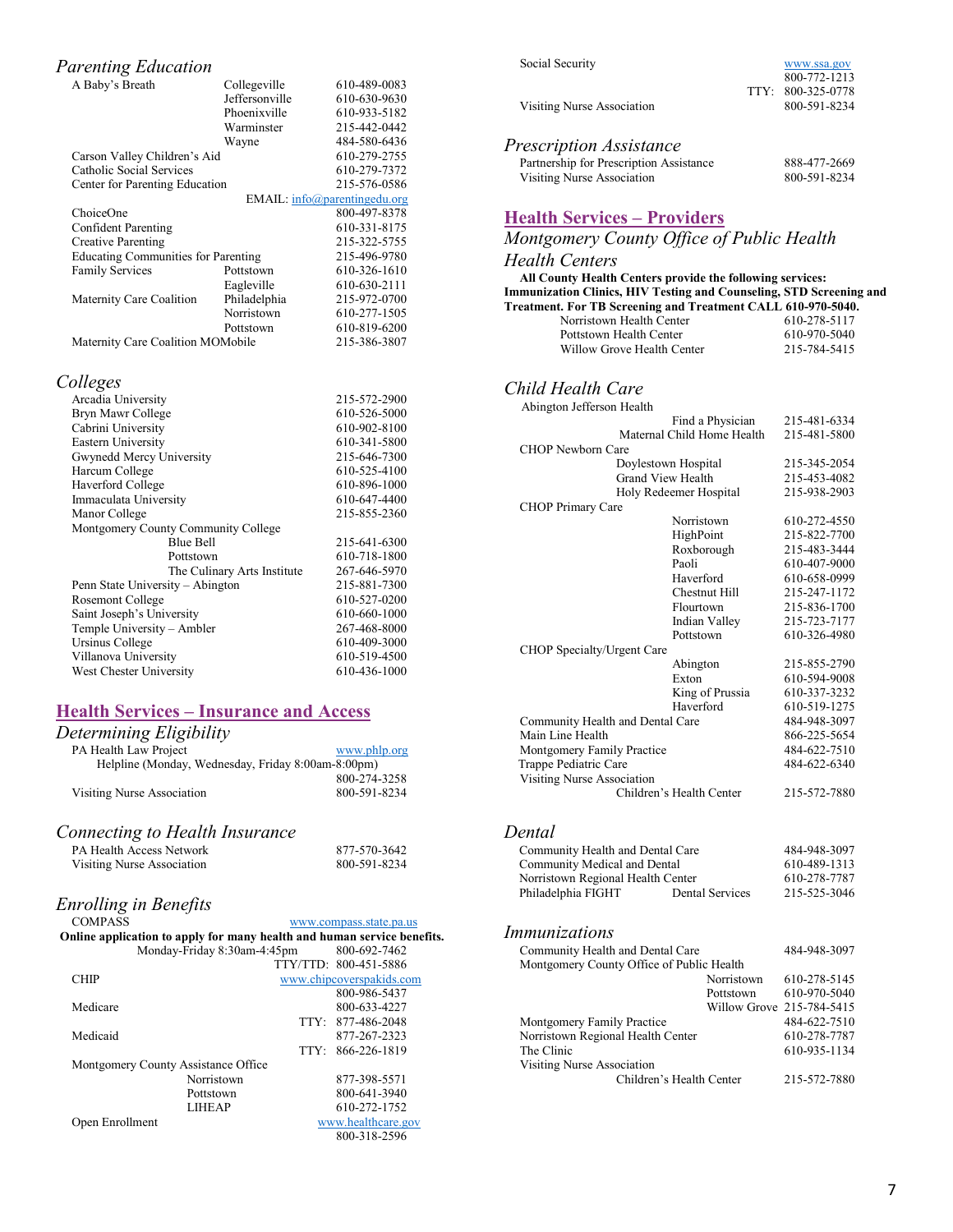#### *Parenting Education* A Baby's Breath Collegeville 610-489-0083<br>Jeffersonville 610-630-9630 610-630-9630 Phoenixville 610-933-5182<br>Warminster 215-442-0442 Warminster 215-442-0442 Wayne 484-580-6436<br>610-279-2755 Carson Valley Children's Aid Catholic Social Services 610-279-7372<br>Center for Parenting Education 215-576-0586 Center for Parenting Education EMAIL: [info@parentingedu.org](mailto:info@parentingedu.org) ChoiceOne 800-497-8378<br>
Confident Parenting 610-331-8175 Confident Parenting 610-331-8175<br>Creative Parenting 215-322-5755 Creative Parenting 215-322-5755<br>Educating Communities for Parenting 215-496-9780 Educating Communities for Parenting Family Services Pottstown 610-326-1610<br>Eagleville 610-630-2111 Eagleville 610-630-2111<br>
Philadelphia 215-972-0700 Maternity Care Coalition Philadelphia<br>Norristown 610-277-1505 Pottstown 610-819-6200<br>Mobile 215-386-3807 Maternity Care Coalition MOMobile

#### *Colleges*

| Arcadia University                  | 215-572-2900 |
|-------------------------------------|--------------|
| Bryn Mawr College                   | 610-526-5000 |
| Cabrini University                  | 610-902-8100 |
| Eastern University                  | 610-341-5800 |
| Gwynedd Mercy University            | 215-646-7300 |
| Harcum College                      | 610-525-4100 |
| Haverford College                   | 610-896-1000 |
| Immaculata University               | 610-647-4400 |
| Manor College                       | 215-855-2360 |
| Montgomery County Community College |              |
| <b>Blue Bell</b>                    | 215-641-6300 |
| Pottstown                           | 610-718-1800 |
| The Culinary Arts Institute         | 267-646-5970 |
| Penn State University - Abington    | 215-881-7300 |
| Rosemont College                    | 610-527-0200 |
| Saint Joseph's University           | 610-660-1000 |
| Temple University - Ambler          | 267-468-8000 |
| Ursinus College                     | 610-409-3000 |
| Villanova University                | 610-519-4500 |
| West Chester University             | 610-436-1000 |
|                                     |              |

## **Health Services – Insurance and Access**

| Determining Eligibility                            |              |
|----------------------------------------------------|--------------|
| PA Health Law Project                              | www.phlp.org |
| Helpline (Monday, Wednesday, Friday 8:00am-8:00pm) |              |
|                                                    | 800-274-3258 |
| Visiting Nurse Association                         | 800-591-8234 |
|                                                    |              |

#### *Connecting to Health Insurance*

| <b>PA Health Access Network</b> | 877-570-3642 |
|---------------------------------|--------------|
| Visiting Nurse Association      | 800-591-8234 |

# *Enrolling in Benefits*

| <b>COMPASS</b>                                                          |                             | www.compass.state.pa.us |                          |  |
|-------------------------------------------------------------------------|-----------------------------|-------------------------|--------------------------|--|
| Online application to apply for many health and human service benefits. |                             |                         |                          |  |
|                                                                         | Monday-Friday 8:30am-4:45pm |                         | 800-692-7462             |  |
|                                                                         |                             |                         | TTY/TTD: 800-451-5886    |  |
| <b>CHIP</b>                                                             |                             |                         | www.chipcoverspakids.com |  |
|                                                                         |                             |                         | 800-986-5437             |  |
| Medicare                                                                |                             |                         | 800-633-4227             |  |
|                                                                         |                             |                         | TTY: 877-486-2048        |  |
| Medicaid                                                                |                             |                         | 877-267-2323             |  |
|                                                                         |                             |                         | TTY: 866-226-1819        |  |
| Montgomery County Assistance Office                                     |                             |                         |                          |  |
|                                                                         | Norristown                  |                         | 877-398-5571             |  |
|                                                                         | Pottstown                   |                         | 800-641-3940             |  |
|                                                                         | <b>LIHEAP</b>               |                         | 610-272-1752             |  |
| Open Enrollment                                                         |                             |                         | www.healthcare.gov       |  |
|                                                                         |                             |                         | 800-318-2596             |  |
|                                                                         |                             |                         |                          |  |

| Social Security            | www.ssa.gov<br>800-772-1213 |
|----------------------------|-----------------------------|
|                            | TTY: 800-325-0778           |
| Visiting Nurse Association | 800-591-8234                |

*Prescription Assistance* Partnership for Prescription Assistance 888-477-2669<br>Visiting Nurse Association 800-591-8234 Visiting Nurse Association

## **Health Services – Providers**

## *Montgomery County Office of Public Health*

#### *Health Centers*

 **All County Health Centers provide the following services: Immunization Clinics, HIV Testing and Counseling, STD Screening and Treatment. For TB Screening and Treatment CALL 610-970-5040.**

| Norristown Health Center   | 610-278-5117 |
|----------------------------|--------------|
| Pottstown Health Center    | 610-970-5040 |
| Willow Grove Health Center | 215-784-5415 |

# *Child Health Care*

| Abington Jefferson Health        |                            |              |
|----------------------------------|----------------------------|--------------|
|                                  | Find a Physician           | 215-481-6334 |
|                                  | Maternal Child Home Health | 215-481-5800 |
| <b>CHOP Newborn Care</b>         |                            |              |
|                                  | Doylestown Hospital        | 215-345-2054 |
|                                  | <b>Grand View Health</b>   | 215-453-4082 |
|                                  | Holy Redeemer Hospital     | 215-938-2903 |
| <b>CHOP Primary Care</b>         |                            |              |
|                                  | Norristown                 | 610-272-4550 |
|                                  | HighPoint                  | 215-822-7700 |
|                                  | Roxborough                 | 215-483-3444 |
|                                  | Paoli                      | 610-407-9000 |
|                                  | Haverford                  | 610-658-0999 |
|                                  | Chestnut Hill              | 215-247-1172 |
|                                  | Flourtown                  | 215-836-1700 |
|                                  | Indian Valley              | 215-723-7177 |
|                                  | Pottstown                  | 610-326-4980 |
| CHOP Specialty/Urgent Care       |                            |              |
|                                  | Abington                   | 215-855-2790 |
|                                  | Exton                      | 610-594-9008 |
|                                  | King of Prussia            | 610-337-3232 |
|                                  | Haverford                  | 610-519-1275 |
| Community Health and Dental Care |                            | 484-948-3097 |
| Main Line Health                 |                            | 866-225-5654 |
| Montgomery Family Practice       |                            | 484-622-7510 |
| Trappe Pediatric Care            |                            | 484-622-6340 |
| Visiting Nurse Association       |                            |              |
|                                  | Children's Health Center   | 215-572-7880 |
|                                  |                            |              |

*Dental*

Community Health and Dental Care 484-948-3097<br>
Community Medical and Dental 610-489-1313 Community Medical and Dental 610-489-1313<br>Norristown Regional Health Center 610-278-7787 Norristown Regional Health Center 610-278-7787 Philadelphia FIGHT

#### *Immunizations*

| Community Health and Dental Care          |            | 484-948-3097              |
|-------------------------------------------|------------|---------------------------|
| Montgomery County Office of Public Health |            |                           |
|                                           | Norristown | 610-278-5145              |
|                                           | Pottstown  | 610-970-5040              |
|                                           |            | Willow Grove 215-784-5415 |
| <b>Montgomery Family Practice</b>         |            | 484-622-7510              |
| Norristown Regional Health Center         |            | 610-278-7787              |
| The Clinic                                |            | 610-935-1134              |
| Visiting Nurse Association                |            |                           |
| Children's Health Center                  |            | 215-572-7880              |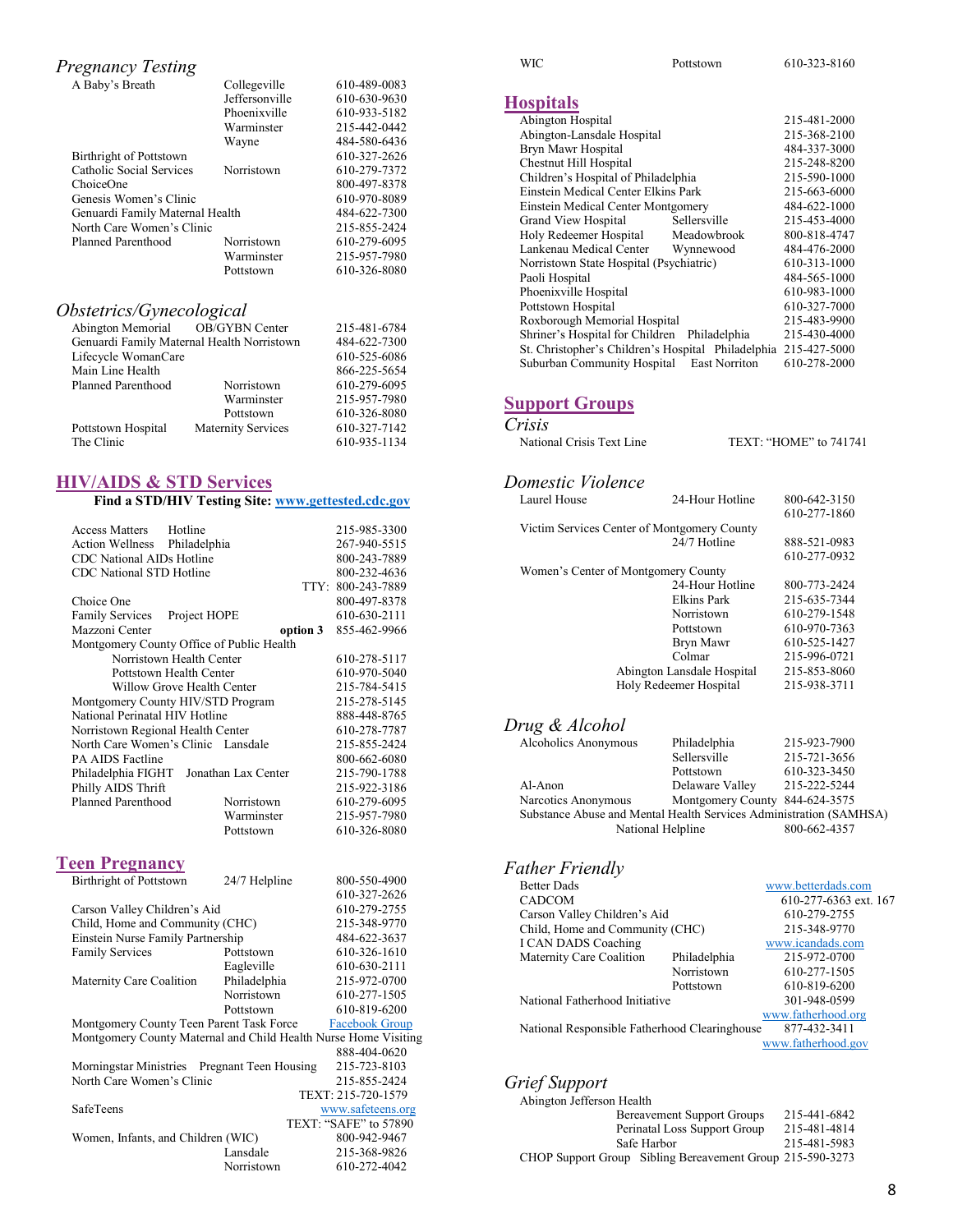## *Pregnancy Testing*

| A Baby's Breath                 | Collegeville          | 610-489-0083 |
|---------------------------------|-----------------------|--------------|
|                                 | <b>Jeffersonville</b> | 610-630-9630 |
|                                 | Phoenixville          | 610-933-5182 |
|                                 | Warminster            | 215-442-0442 |
|                                 | Wayne                 | 484-580-6436 |
| Birthright of Pottstown         |                       | 610-327-2626 |
| Catholic Social Services        | Norristown            | 610-279-7372 |
| ChoiceOne                       |                       | 800-497-8378 |
| Genesis Women's Clinic          |                       | 610-970-8089 |
| Genuardi Family Maternal Health |                       | 484-622-7300 |
| North Care Women's Clinic       |                       | 215-855-2424 |
| Planned Parenthood              | Norristown            | 610-279-6095 |
|                                 | Warminster            | 215-957-7980 |
|                                 | Pottstown             | 610-326-8080 |
|                                 |                       |              |

## *Obstetrics/Gynecological*

| Abington Memorial OB/GYBN Center           |                           | 215-481-6784 |
|--------------------------------------------|---------------------------|--------------|
| Genuardi Family Maternal Health Norristown |                           | 484-622-7300 |
| Lifecycle WomanCare                        |                           | 610-525-6086 |
| Main Line Health                           |                           | 866-225-5654 |
| Planned Parenthood                         | Norristown                | 610-279-6095 |
|                                            | Warminster                | 215-957-7980 |
|                                            | Pottstown                 | 610-326-8080 |
| Pottstown Hospital                         | <b>Maternity Services</b> | 610-327-7142 |
| The Clinic                                 |                           | 610-935-1134 |
|                                            |                           |              |

#### **HIV/AIDS & STD Services**

|                                           |                            | Find a STD/HIV Testing Site: www.gettested.cdc.gov              |                                            |
|-------------------------------------------|----------------------------|-----------------------------------------------------------------|--------------------------------------------|
| <b>Access Matters</b>                     | Hotline                    |                                                                 | 215-985-3300                               |
| <b>Action Wellness</b>                    | Philadelphia               |                                                                 | 267-940-5515                               |
| CDC National AIDs Hotline                 |                            |                                                                 | 800-243-7889                               |
| <b>CDC</b> National STD Hotline           |                            |                                                                 | 800-232-4636                               |
|                                           |                            |                                                                 | TTY: 800-243-7889                          |
| Choice One                                |                            |                                                                 | 800-497-8378                               |
| <b>Family Services</b>                    | Project HOPE               |                                                                 | 610-630-2111                               |
| Mazzoni Center                            |                            | option 3                                                        | 855-462-9966                               |
| Montgomery County Office of Public Health |                            |                                                                 |                                            |
|                                           | Norristown Health Center   |                                                                 | 610-278-5117                               |
|                                           | Pottstown Health Center    |                                                                 | 610-970-5040                               |
|                                           | Willow Grove Health Center |                                                                 | 215-784-5415                               |
| Montgomery County HIV/STD Program         |                            |                                                                 | 215-278-5145                               |
| National Perinatal HIV Hotline            |                            |                                                                 | 888-448-8765                               |
| Norristown Regional Health Center         |                            |                                                                 | 610-278-7787                               |
| North Care Women's Clinic Lansdale        |                            |                                                                 | 215-855-2424                               |
| <b>PA AIDS Factline</b>                   |                            |                                                                 | 800-662-6080                               |
| Philadelphia FIGHT                        |                            | Jonathan Lax Center                                             | 215-790-1788                               |
| Philly AIDS Thrift                        |                            |                                                                 | 215-922-3186                               |
| Planned Parenthood                        |                            | Norristown                                                      | 610-279-6095                               |
|                                           |                            | Warminster                                                      | 215-957-7980                               |
|                                           |                            | Pottstown                                                       | 610-326-8080                               |
|                                           |                            |                                                                 |                                            |
| <b>Teen Pregnancy</b>                     |                            |                                                                 |                                            |
| <b>Birthright of Pottstown</b>            |                            | 24/7 Helpline                                                   | 800-550-4900                               |
|                                           |                            |                                                                 | 610-327-2626                               |
| Carson Valley Children's Aid              |                            |                                                                 | 610-279-2755                               |
| Child, Home and Community (CHC)           |                            |                                                                 | 215-348-9770                               |
| Einstein Nurse Family Partnership         |                            |                                                                 | 484-622-3637                               |
| <b>Family Services</b>                    |                            | Pottstown                                                       | 610-326-1610                               |
|                                           |                            | Eagleville                                                      | 610-630-2111                               |
| Maternity Care Coalition                  |                            | Philadelphia                                                    | 215-972-0700                               |
|                                           |                            | Norristown                                                      | 610-277-1505                               |
|                                           |                            | Pottstown                                                       | 610-819-6200                               |
| Montgomery County Teen Parent Task Force  |                            |                                                                 | <b>Facebook Group</b>                      |
|                                           |                            | Montgomery County Maternal and Child Health Nurse Home Visiting |                                            |
|                                           |                            |                                                                 | 888-404-0620                               |
| North Care Women's Clinic                 |                            | Morningstar Ministries Pregnant Teen Housing                    | 215-723-8103                               |
|                                           |                            |                                                                 | 215-855-2424                               |
| SafeTeens                                 |                            |                                                                 | TEXT: 215-720-1579                         |
|                                           |                            |                                                                 | www.safeteens.org<br>TEXT: "SAFE" to 57890 |
| Women, Infants, and Children (WIC)        |                            |                                                                 | 800-942-9467                               |
|                                           |                            | Lansdale                                                        | 215-368-9826                               |
|                                           |                            | Norristown                                                      | 610-272-4042                               |
|                                           |                            |                                                                 |                                            |

| ۰, |  |
|----|--|

Pottstown 610-323-8160

## **Hospitals**

| Abington Hospital                                               |                      | 215-481-2000 |
|-----------------------------------------------------------------|----------------------|--------------|
| Abington-Lansdale Hospital                                      |                      | 215-368-2100 |
| Bryn Mawr Hospital                                              |                      | 484-337-3000 |
| Chestnut Hill Hospital                                          |                      | 215-248-8200 |
| Children's Hospital of Philadelphia                             |                      | 215-590-1000 |
| Einstein Medical Center Elkins Park                             |                      | 215-663-6000 |
| Einstein Medical Center Montgomery                              |                      | 484-622-1000 |
| Grand View Hospital                                             | Sellersville         | 215-453-4000 |
| Holy Redeemer Hospital                                          | Meadowbrook          | 800-818-4747 |
| Lankenau Medical Center                                         | Wynnewood            | 484-476-2000 |
| Norristown State Hospital (Psychiatric)                         |                      | 610-313-1000 |
| Paoli Hospital                                                  |                      | 484-565-1000 |
| Phoenixville Hospital                                           |                      | 610-983-1000 |
| Pottstown Hospital                                              |                      | 610-327-7000 |
| Roxborough Memorial Hospital                                    |                      | 215-483-9900 |
| Shriner's Hospital for Children                                 | Philadelphia         | 215-430-4000 |
| St. Christopher's Children's Hospital Philadelphia 215-427-5000 |                      |              |
| Suburban Community Hospital                                     | <b>East Norriton</b> | 610-278-2000 |
|                                                                 |                      |              |

## **Support Groups**

#### *Crisis*

| National Crisis Text Line | TEXT: "HOME" to 741741 |
|---------------------------|------------------------|
|                           |                        |

# *Domestic Violence*

| Laurel House                                | 24-Hour Hotline            | 800-642-3150 |
|---------------------------------------------|----------------------------|--------------|
|                                             |                            | 610-277-1860 |
| Victim Services Center of Montgomery County |                            |              |
|                                             | 24/7 Hotline               | 888-521-0983 |
|                                             |                            | 610-277-0932 |
| Women's Center of Montgomery County         |                            |              |
|                                             | 24-Hour Hotline            | 800-773-2424 |
|                                             | Elkins Park                | 215-635-7344 |
|                                             | Norristown                 | 610-279-1548 |
|                                             | Pottstown                  | 610-970-7363 |
|                                             | Bryn Mawr                  | 610-525-1427 |
|                                             | Colmar                     | 215-996-0721 |
|                                             | Abington Lansdale Hospital | 215-853-8060 |
|                                             | Holy Redeemer Hospital     | 215-938-3711 |
|                                             |                            |              |

### *Drug & Alcohol*

| Alcoholics Anonymous                                               | Philadelphia                   | 215-923-7900 |
|--------------------------------------------------------------------|--------------------------------|--------------|
|                                                                    | Sellersville                   | 215-721-3656 |
|                                                                    | Pottstown                      | 610-323-3450 |
| Al-Anon                                                            | Delaware Valley                | 215-222-5244 |
| Narcotics Anonymous                                                | Montgomery County 844-624-3575 |              |
| Substance Abuse and Mental Health Services Administration (SAMHSA) |                                |              |
| National Helpline                                                  |                                | 800-662-4357 |
|                                                                    |                                |              |

## *Father Friendly*

| <b>Better Dads</b>                            |              | www.betterdads.com    |
|-----------------------------------------------|--------------|-----------------------|
| <b>CADCOM</b>                                 |              | 610-277-6363 ext. 167 |
| Carson Valley Children's Aid                  |              | 610-279-2755          |
| Child, Home and Community (CHC)               |              | 215-348-9770          |
| I CAN DADS Coaching                           |              | www.icandads.com      |
| Maternity Care Coalition                      | Philadelphia | 215-972-0700          |
|                                               | Norristown   | 610-277-1505          |
|                                               | Pottstown    | 610-819-6200          |
| National Fatherhood Initiative                |              | 301-948-0599          |
|                                               |              | www.fatherhood.org    |
| National Responsible Fatherhood Clearinghouse |              | 877-432-3411          |
|                                               |              | www.fatherhood.gov    |
|                                               |              |                       |

## *Grief Support*

| Abington Jefferson Health                                 |              |
|-----------------------------------------------------------|--------------|
| <b>Bereavement Support Groups</b>                         | 215-441-6842 |
| Perinatal Loss Support Group                              | 215-481-4814 |
| Safe Harbor                                               | 215-481-5983 |
| CHOP Support Group Sibling Bereavement Group 215-590-3273 |              |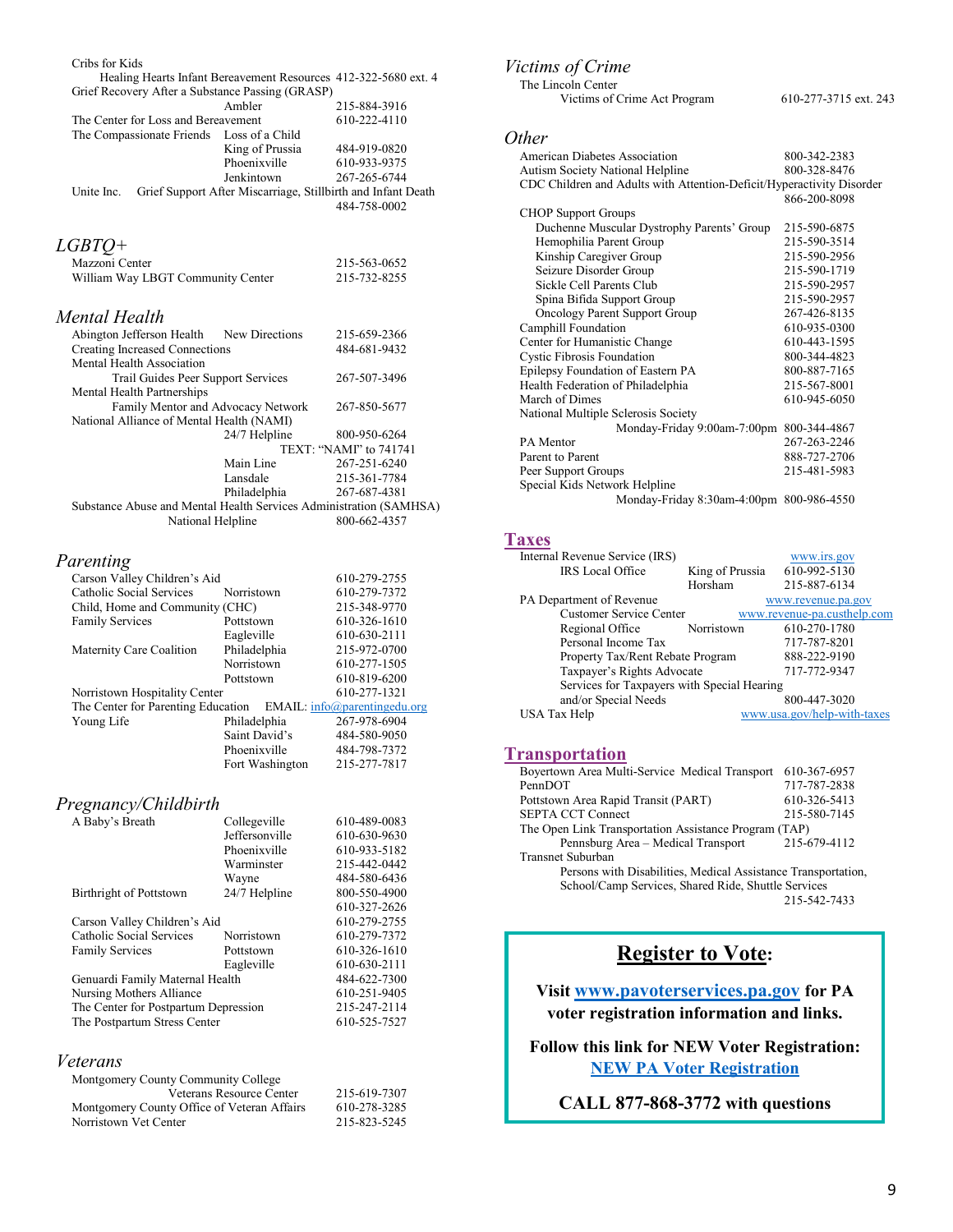| Cribs for Kids                                                                                   |                                                              |                              |
|--------------------------------------------------------------------------------------------------|--------------------------------------------------------------|------------------------------|
| Healing Hearts Infant Bereavement Resources 412-322-5680 ext. 4                                  |                                                              |                              |
| Grief Recovery After a Substance Passing (GRASP)                                                 | Ambler                                                       | 215-884-3916                 |
| The Center for Loss and Bereavement                                                              |                                                              | 610-222-4110                 |
| The Compassionate Friends Loss of a Child                                                        |                                                              |                              |
|                                                                                                  | King of Prussia                                              | 484-919-0820                 |
|                                                                                                  | Phoenixville                                                 | 610-933-9375                 |
|                                                                                                  | Jenkintown                                                   | 267-265-6744                 |
| Unite Inc.                                                                                       | Grief Support After Miscarriage, Stillbirth and Infant Death |                              |
|                                                                                                  |                                                              | 484-758-0002                 |
| <i>LGBTQ</i> +                                                                                   |                                                              |                              |
| Mazzoni Center                                                                                   |                                                              | 215-563-0652                 |
| William Way LBGT Community Center                                                                |                                                              | 215-732-8255                 |
|                                                                                                  |                                                              |                              |
| Mental Health                                                                                    |                                                              |                              |
| Abington Jefferson Health New Directions                                                         |                                                              | 215-659-2366                 |
| <b>Creating Increased Connections</b>                                                            |                                                              | 484-681-9432                 |
| Mental Health Association<br>Trail Guides Peer Support Services                                  |                                                              | 267-507-3496                 |
| Mental Health Partnerships                                                                       |                                                              |                              |
| Family Mentor and Advocacy Network                                                               |                                                              | 267-850-5677                 |
| National Alliance of Mental Health (NAMI)                                                        |                                                              |                              |
|                                                                                                  | 24/7 Helpline                                                | 800-950-6264                 |
|                                                                                                  |                                                              | TEXT: "NAMI" to 741741       |
|                                                                                                  | Main Line                                                    | 267-251-6240                 |
|                                                                                                  | Lansdale                                                     | 215-361-7784                 |
|                                                                                                  | Philadelphia                                                 | 267-687-4381                 |
| Substance Abuse and Mental Health Services Administration (SAMHSA)                               |                                                              |                              |
| National Helpline                                                                                |                                                              | 800-662-4357                 |
| Parenting                                                                                        |                                                              |                              |
| Carson Valley Children's Aid                                                                     |                                                              | 610-279-2755                 |
| Catholic Social Services                                                                         | Norristown                                                   | 610-279-7372                 |
| Child, Home and Community (CHC)                                                                  |                                                              | 215-348-9770                 |
| <b>Family Services</b>                                                                           | Pottstown                                                    | 610-326-1610                 |
|                                                                                                  | Eagleville                                                   | 610-630-2111                 |
| Maternity Care Coalition                                                                         | Philadelphia                                                 | 215-972-0700                 |
|                                                                                                  | Norristown                                                   | 610-277-1505                 |
|                                                                                                  | Pottstown                                                    | 610-819-6200                 |
| Norristown Hospitality Center<br>The Center for Parenting Education EMAIL: info@parentingedu.org |                                                              | 610-277-1321                 |
| Young Life                                                                                       | Philadelphia                                                 | 267-978-6904                 |
|                                                                                                  | Saint David's                                                | 484-580-9050                 |
|                                                                                                  | Phoenixville                                                 | 484-798-7372                 |
|                                                                                                  | Fort Washington                                              | 215-277-7817                 |
|                                                                                                  |                                                              |                              |
| Pregnancy/Childbirth                                                                             |                                                              |                              |
| A Baby's Breath                                                                                  | Collegeville                                                 | 610-489-0083                 |
|                                                                                                  | Jeffersonville                                               | 610-630-9630                 |
|                                                                                                  | Phoenixville                                                 | 610-933-5182                 |
|                                                                                                  | Warminster                                                   | 215-442-0442                 |
| Birthright of Pottstown                                                                          | Wayne<br>24/7 Helpline                                       | 484-580-6436<br>800-550-4900 |
|                                                                                                  |                                                              | 610-327-2626                 |
| Carson Valley Children's Aid                                                                     |                                                              | 610-279-2755                 |
| Catholic Social Services                                                                         | Norristown                                                   | 610-279-7372                 |
| <b>Family Services</b>                                                                           | Pottstown                                                    | 610-326-1610                 |
|                                                                                                  | Eagleville                                                   | 610-630-2111                 |
| Genuardi Family Maternal Health                                                                  |                                                              | 484-622-7300                 |
| Nursing Mothers Alliance                                                                         |                                                              | 610-251-9405                 |
| The Center for Postpartum Depression                                                             |                                                              | 215-247-2114                 |
| The Postpartum Stress Center                                                                     |                                                              | 610-525-7527                 |
| Veterans                                                                                         |                                                              |                              |
| Montgomery County Community College                                                              |                                                              |                              |
|                                                                                                  | Veterans Resource Center                                     | 215-619-7307                 |
| Montgomery County Office of Veteran Affairs                                                      |                                                              | 610-278-3285                 |
|                                                                                                  |                                                              |                              |

Montgomery County Office of Veteran Affairs 610-278-3285<br>Norristown Vet Center 215-823-5245

Norristown Vet Center

## *Victims of Crime*

 The Lincoln Center Victims of Crime Act Program 610-277-3715 ext. 243

#### *Other*

| American Diabetes Association                                         | 800-342-2383 |
|-----------------------------------------------------------------------|--------------|
| Autism Society National Helpline                                      | 800-328-8476 |
| CDC Children and Adults with Attention-Deficit/Hyperactivity Disorder |              |
|                                                                       | 866-200-8098 |
| <b>CHOP Support Groups</b>                                            |              |
| Duchenne Muscular Dystrophy Parents' Group                            | 215-590-6875 |
| Hemophilia Parent Group                                               | 215-590-3514 |
| Kinship Caregiver Group                                               | 215-590-2956 |
| Seizure Disorder Group                                                | 215-590-1719 |
| Sickle Cell Parents Club                                              | 215-590-2957 |
| Spina Bifida Support Group                                            | 215-590-2957 |
| Oncology Parent Support Group                                         | 267-426-8135 |
| Camphill Foundation                                                   | 610-935-0300 |
| Center for Humanistic Change                                          | 610-443-1595 |
| <b>Cystic Fibrosis Foundation</b>                                     | 800-344-4823 |
| Epilepsy Foundation of Eastern PA                                     | 800-887-7165 |
| Health Federation of Philadelphia                                     | 215-567-8001 |
| March of Dimes                                                        | 610-945-6050 |
| National Multiple Sclerosis Society                                   |              |
| Monday-Friday 9:00am-7:00pm 800-344-4867                              |              |
| PA Mentor                                                             | 267-263-2246 |
| Parent to Parent                                                      | 888-727-2706 |
| Peer Support Groups                                                   | 215-481-5983 |
| Special Kids Network Helpline                                         |              |
| Monday-Friday 8:30am-4:00pm 800-986-4550                              |              |
|                                                                       |              |

## **Taxes**

| Internal Revenue Service (IRS)              |                 | www.irs.gov                 |
|---------------------------------------------|-----------------|-----------------------------|
| <b>IRS</b> Local Office                     | King of Prussia | 610-992-5130                |
|                                             | Horsham         | 215-887-6134                |
| PA Department of Revenue                    |                 | www.revenue.pa.gov          |
| Customer Service Center                     |                 | www.revenue-pa.custhelp.com |
| Regional Office                             | Norristown      | 610-270-1780                |
| Personal Income Tax                         |                 | 717-787-8201                |
| Property Tax/Rent Rebate Program            |                 | 888-222-9190                |
| Taxpayer's Rights Advocate                  |                 | 717-772-9347                |
| Services for Taxpayers with Special Hearing |                 |                             |
| and/or Special Needs                        |                 | 800-447-3020                |
| USA Tax Help                                |                 | www.usa.gov/help-with-taxes |

## **Transportation**

| Boyertown Area Multi-Service Medical Transport                | 610-367-6957 |  |
|---------------------------------------------------------------|--------------|--|
| PennDOT                                                       | 717-787-2838 |  |
| Pottstown Area Rapid Transit (PART)                           | 610-326-5413 |  |
| <b>SEPTA CCT Connect</b>                                      | 215-580-7145 |  |
| The Open Link Transportation Assistance Program (TAP)         |              |  |
| Pennsburg Area - Medical Transport                            | 215-679-4112 |  |
| <b>Transnet Suburban</b>                                      |              |  |
| Persons with Disabilities, Medical Assistance Transportation, |              |  |
| School/Camp Services, Shared Ride, Shuttle Services           |              |  |

215-542-7433

# **Register to Vote:**

**Visit [www.pavoterservices.pa.gov](http://www.pavoterservices.pa.gov/) for PA voter registration information and links.**

**Follow this link for NEW Voter Registration: [NEW PA Voter Registration](https://www.pavoterservices.pa.gov/Pages/VoterRegistrationApplication.aspx)**

**CALL 877-868-3772 with questions**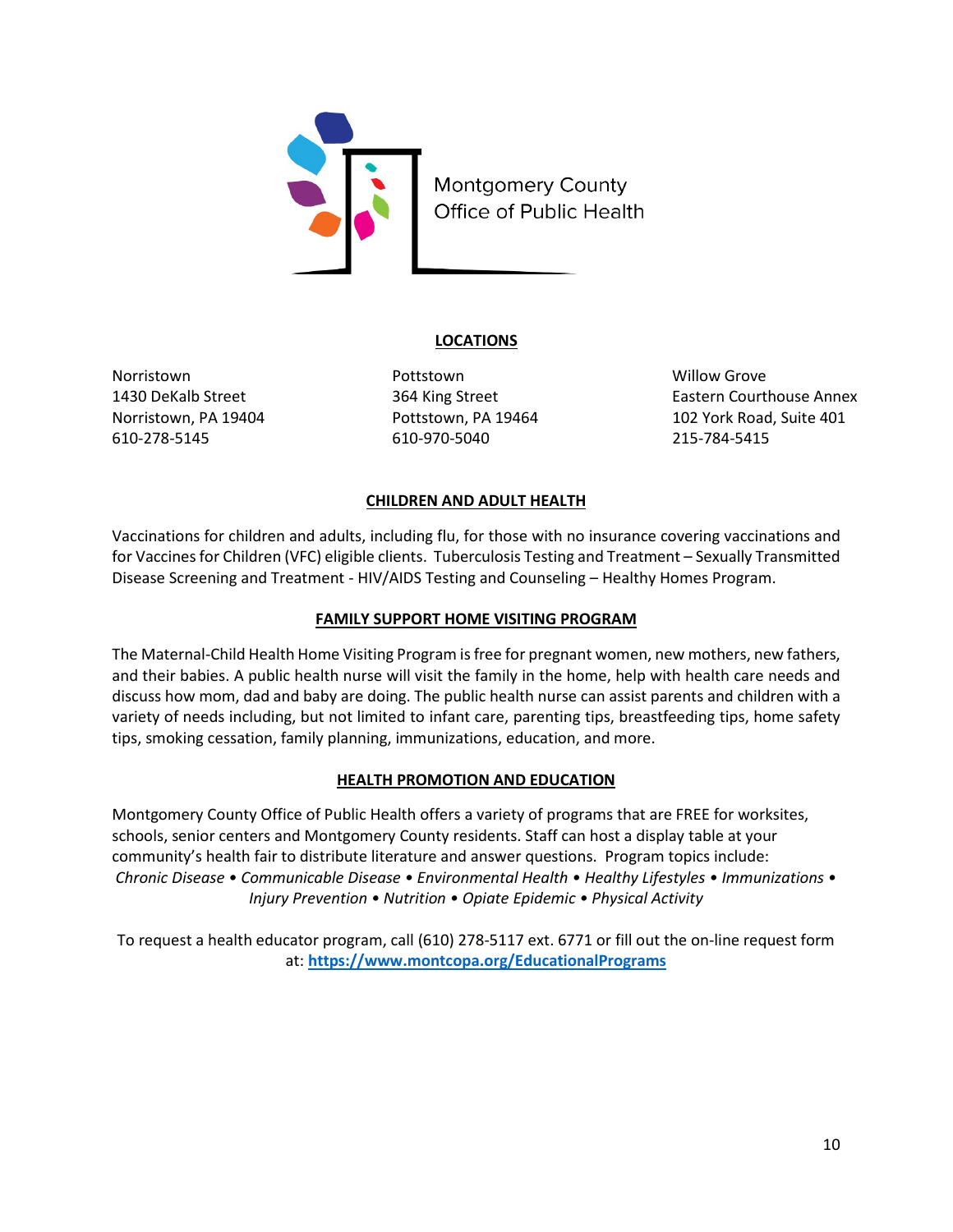

## **LOCATIONS**

610-278-5145 610-970-5040 215-784-5415

Norristown Pottstown Willow Grove

1430 DeKalb Street 364 King Street Eastern Courthouse Annex Norristown, PA 19404 **Pottstown, PA 19464** 102 York Road, Suite 401

## **CHILDREN AND ADULT HEALTH**

Vaccinations for children and adults, including flu, for those with no insurance covering vaccinations and for Vaccines for Children (VFC) eligible clients. Tuberculosis Testing and Treatment – Sexually Transmitted Disease Screening and Treatment - HIV/AIDS Testing and Counseling – Healthy Homes Program.

## **FAMILY SUPPORT HOME VISITING PROGRAM**

The Maternal-Child Health Home Visiting Program is free for pregnant women, new mothers, new fathers, and their babies. A public health nurse will visit the family in the home, help with health care needs and discuss how mom, dad and baby are doing. The public health nurse can assist parents and children with a variety of needs including, but not limited to infant care, parenting tips, breastfeeding tips, home safety tips, smoking cessation, family planning, immunizations, education, and more.

## **HEALTH PROMOTION AND EDUCATION**

Montgomery County Office of Public Health offers a variety of programs that are FREE for worksites, schools, senior centers and Montgomery County residents. Staff can host a display table at your community's health fair to distribute literature and answer questions. Program topics include: *Chronic Disease • Communicable Disease • Environmental Health • Healthy Lifestyles • Immunizations • Injury Prevention • Nutrition • Opiate Epidemic • Physical Activity*

To request a health educator program, call (610) 278-5117 ext. 6771 or fill out the on-line request form at: **<https://www.montcopa.org/EducationalPrograms>**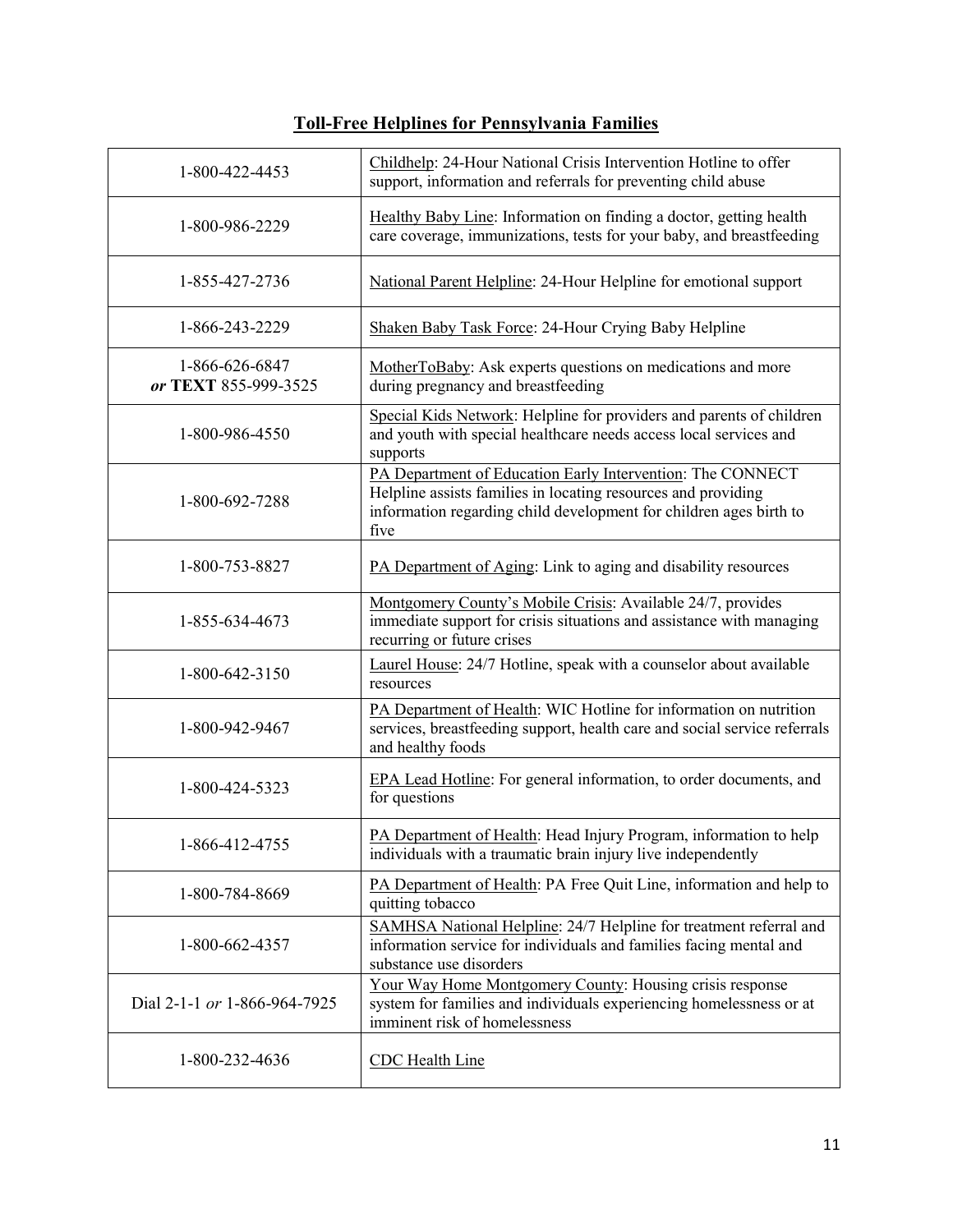## **Toll-Free Helplines for Pennsylvania Families**

| 1-800-422-4453                         | Childhelp: 24-Hour National Crisis Intervention Hotline to offer<br>support, information and referrals for preventing child abuse                                                                         |
|----------------------------------------|-----------------------------------------------------------------------------------------------------------------------------------------------------------------------------------------------------------|
| 1-800-986-2229                         | Healthy Baby Line: Information on finding a doctor, getting health<br>care coverage, immunizations, tests for your baby, and breastfeeding                                                                |
| 1-855-427-2736                         | National Parent Helpline: 24-Hour Helpline for emotional support                                                                                                                                          |
| 1-866-243-2229                         | Shaken Baby Task Force: 24-Hour Crying Baby Helpline                                                                                                                                                      |
| 1-866-626-6847<br>or TEXT 855-999-3525 | MotherToBaby: Ask experts questions on medications and more<br>during pregnancy and breastfeeding                                                                                                         |
| 1-800-986-4550                         | Special Kids Network: Helpline for providers and parents of children<br>and youth with special healthcare needs access local services and<br>supports                                                     |
| 1-800-692-7288                         | PA Department of Education Early Intervention: The CONNECT<br>Helpline assists families in locating resources and providing<br>information regarding child development for children ages birth to<br>five |
| 1-800-753-8827                         | PA Department of Aging: Link to aging and disability resources                                                                                                                                            |
| 1-855-634-4673                         | Montgomery County's Mobile Crisis: Available 24/7, provides<br>immediate support for crisis situations and assistance with managing<br>recurring or future crises                                         |
| 1-800-642-3150                         | Laurel House: 24/7 Hotline, speak with a counselor about available<br>resources                                                                                                                           |
| 1-800-942-9467                         | PA Department of Health: WIC Hotline for information on nutrition<br>services, breastfeeding support, health care and social service referrals<br>and healthy foods                                       |
| 1-800-424-5323                         | EPA Lead Hotline: For general information, to order documents, and<br>for questions                                                                                                                       |
| 1-866-412-4755                         | PA Department of Health: Head Injury Program, information to help<br>individuals with a traumatic brain injury live independently                                                                         |
| 1-800-784-8669                         | PA Department of Health: PA Free Quit Line, information and help to<br>quitting tobacco                                                                                                                   |
| 1-800-662-4357                         | SAMHSA National Helpline: 24/7 Helpline for treatment referral and<br>information service for individuals and families facing mental and<br>substance use disorders                                       |
| Dial 2-1-1 or 1-866-964-7925           | Your Way Home Montgomery County: Housing crisis response<br>system for families and individuals experiencing homelessness or at<br>imminent risk of homelessness                                          |
| 1-800-232-4636                         | <b>CDC</b> Health Line                                                                                                                                                                                    |